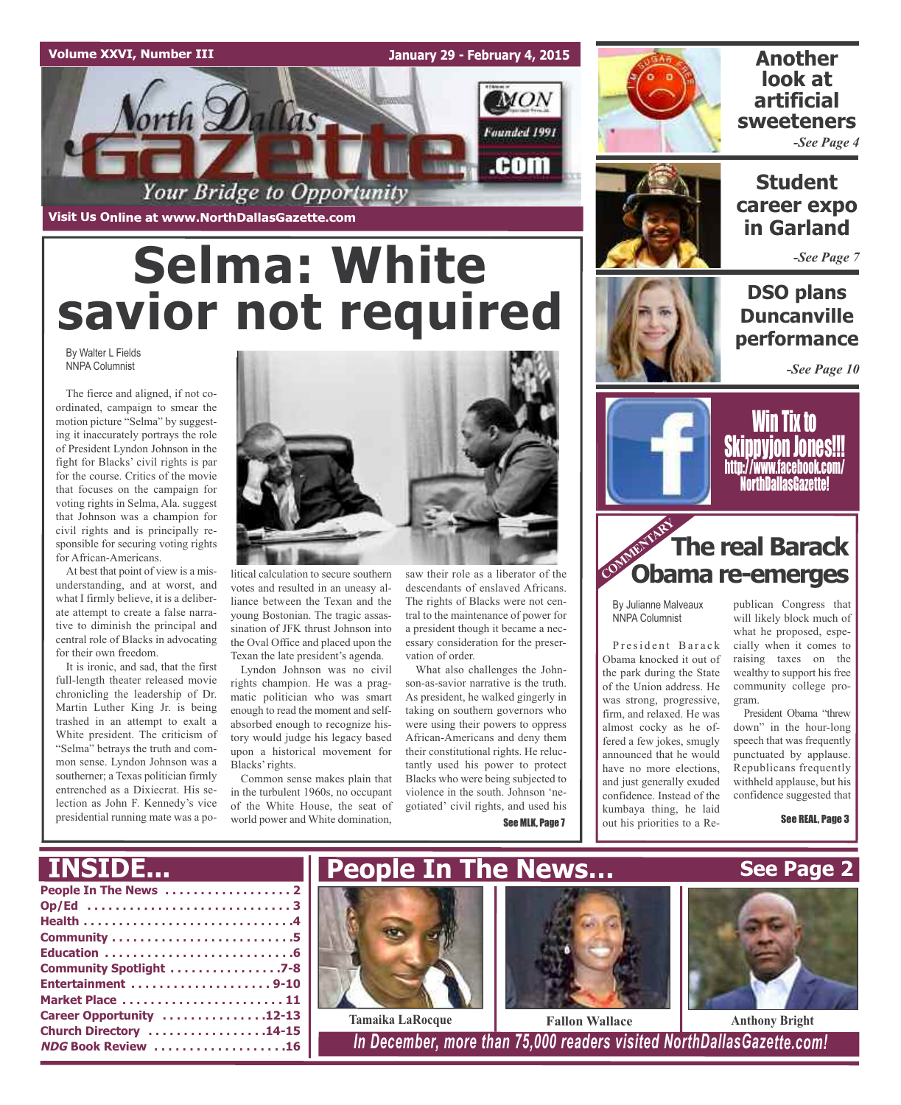### **Volume XXVI, Number III**

**January 29 - February 4, 2015**



**Visit Us Online at www.NorthDallasGazette.com**

# **Selma: White savior not required**

By Walter L Fields NNPA Columnist

The fierce and aligned, if not coordinated, campaign to smear the motion picture "Selma" by suggesting it inaccurately portrays the role of President Lyndon Johnson in the fight for Blacks' civil rights is par for the course. Critics of the movie that focuses on the campaign for voting rights in Selma, Ala. suggest that Johnson was a champion for civil rights and is principally responsible for securing voting rights for African-Americans.

At best that point of view is a misunderstanding, and at worst, and what I firmly believe, it is a deliberate attempt to create a false narrative to diminish the principal and central role of Blacks in advocating for their own freedom.

It is ironic, and sad, that the first full-length theater released movie chronicling the leadership of Dr. Martin Luther King Jr. is being trashed in an attempt to exalt a White president. The criticism of "Selma" betrays the truth and common sense. Lyndon Johnson was a southerner; a Texas politician firmly entrenched as a Dixiecrat. His selection as John F. Kennedy's vice presidential running mate was a po-



litical calculation to secure southern votes and resulted in an uneasy alliance between the Texan and the young Bostonian. The tragic assassination of JFK thrust Johnson into the Oval Office and placed upon the Texan the late president's agenda.

Lyndon Johnson was no civil rights champion. He was a pragmatic politician who was smart enough to read the moment and selfabsorbed enough to recognize history would judge his legacy based upon a historical movement for Blacks' rights.

Common sense makes plain that in the turbulent 1960s, no occupant of the White House, the seat of world power and White domination,

saw their role as a liberator of the descendants of enslaved Africans. The rights of Blacks were not central to the maintenance of power for

essary consideration for the preservation of order. What also challenges the Johnson-as-savior narrative is the truth. As president, he walked gingerly in taking on southern governors who were using their powers to oppress African-Americans and deny them their constitutional rights. He reluctantly used his power to protect Blacks who were being subjected to violence in the south. Johnson 'negotiated' civil rights, and used his See MLK, Page 7

a president though it became a nec-



### **Another look at artificial sweeteners** *-See Page 4*



### **Student career expo in Garland**

*-See Page 7*

### **DSO plans Duncanville performance**

*-See Page 10*



Win Tix to **Skippyion Jones!!!** http://www.facebook.com/ NorthDallasGazette!

## **COMMENTARY The real Barack The real Barack**

By Julianne Malveaux NNPA Columnist

President Barack Obama knocked it out of the park during the State of the Union address. He was strong, progressive, firm, and relaxed. He was almost cocky as he offered a few jokes, smugly announced that he would have no more elections, and just generally exuded confidence. Instead of the kumbaya thing, he laid out his priorities to a Re-

publican Congress that will likely block much of what he proposed, especially when it comes to raising taxes on the wealthy to support his free community college program.

President Obama "threw down" in the hour-long speech that was frequently punctuated by applause. Republicans frequently withheld applause, but his confidence suggested that

See REAL, Page 3

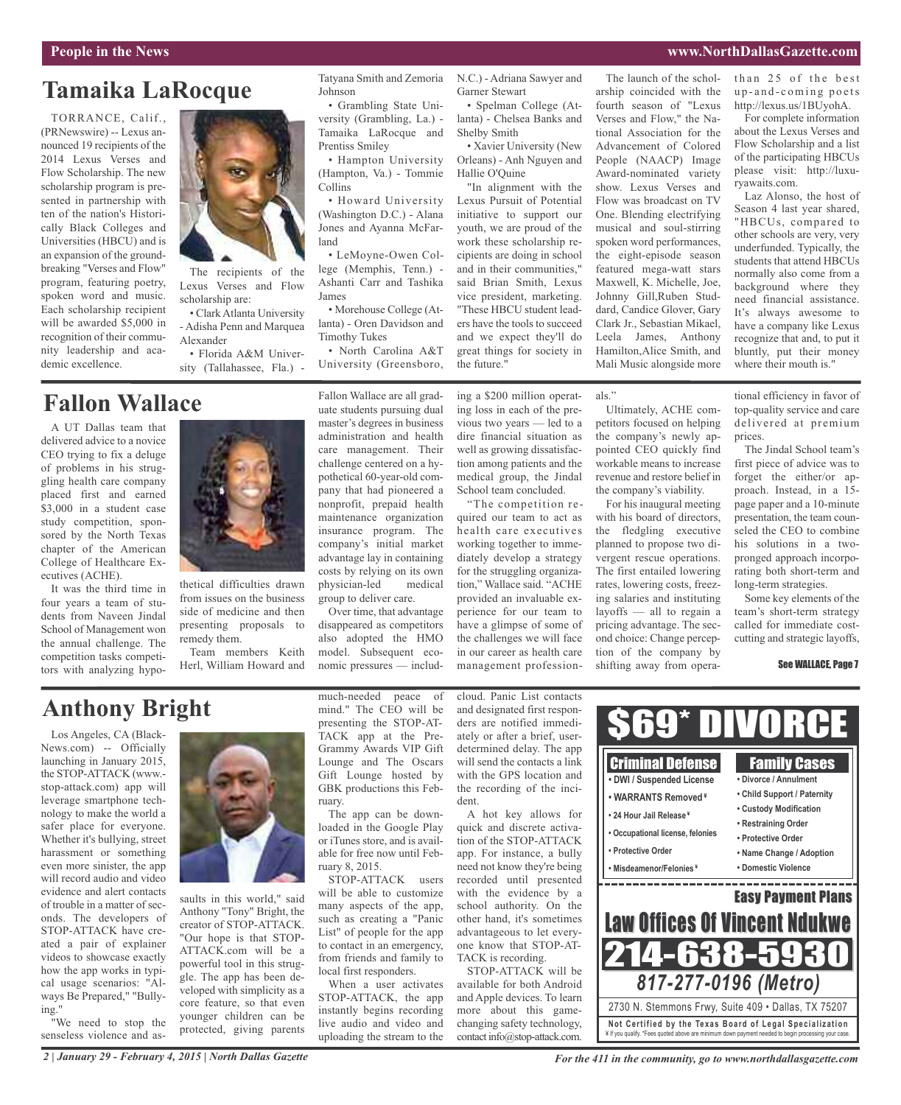### **Tamaika LaRocque**

TORRANCE, Calif., (PRNewswire) -- Lexus announced 19 recipients of the 2014 Lexus Verses and Flow Scholarship. The new scholarship program is presented in partnership with ten of the nation's Historically Black Colleges and Universities (HBCU) and is an expansion of the groundbreaking "Verses and Flow" program, featuring poetry, spoken word and music. Each scholarship recipient will be awarded \$5,000 in recognition of their community leadership and academic excellence.

### **Fallon Wallace**

A UT Dallas team that delivered advice to a novice CEO trying to fix a deluge of problems in his struggling health care company placed first and earned \$3,000 in a student case study competition, sponsored by the North Texas chapter of the American College of Healthcare Executives (ACHE).

It was the third time in four years a team of students from Naveen Jindal School of Management won the annual challenge. The competition tasks competitors with analyzing hypo-



The recipients of the Lexus Verses and Flow

• Clark Atlanta University - Adisha Penn and Marquea

• Florida A&M University (Tallahassee, Fla.) -

scholarship are:

Alexander

thetical difficulties drawn from issues on the business side of medicine and then presenting proposals to remedy them.

Team members Keith Herl, William Howard and Tatyana Smith and Zemoria Johnson

• Grambling State University (Grambling, La.) - Tamaika LaRocque and Prentiss Smiley

• Hampton University (Hampton, Va.) - Tommie Collins

• Howard University (Washington D.C.) - Alana Jones and Ayanna McFarland

• LeMoyne-Owen College (Memphis, Tenn.) - Ashanti Carr and Tashika James

• Morehouse College (Atlanta) - Oren Davidson and Timothy Tukes

• North Carolina A&T University (Greensboro,

Fallon Wallace are all graduate students pursuing dual master's degrees in business administration and health care management. Their challenge centered on a hypothetical 60-year-old company that had pioneered a nonprofit, prepaid health maintenance organization insurance program. The company's initial market the future."

advantage lay in containing costs by relying on its own physician-led medical group to deliver care. Over time, that advantage

disappeared as competitors also adopted the HMO model. Subsequent economic pressures — includN.C.) - Adriana Sawyer and Garner Stewart • Spelman College (At-

lanta) - Chelsea Banks and Shelby Smith • Xavier University (New Orleans) - Anh Nguyen and Hallie O'Quine

"In alignment with the Lexus Pursuit of Potential initiative to support our youth, we are proud of the work these scholarship recipients are doing in school and in their communities," said Brian Smith, Lexus vice president, marketing. "These HBCU student leaders have the tools to succeed and we expect they'll do great things for society in

ing a \$200 million operating loss in each of the previous two years — led to a dire financial situation as well as growing dissatisfaction among patients and the medical group, the Jindal School team concluded.

"The competition required our team to act as health care executives working together to immediately develop a strategy for the struggling organization," Wallace said. "ACHE provided an invaluable experience for our team to have a glimpse of some of the challenges we will face in our career as health care management professionarship coincided with the fourth season of "Lexus Verses and Flow," the National Association for the Advancement of Colored People (NAACP) Image Award-nominated variety show. Lexus Verses and Flow was broadcast on TV One. Blending electrifying musical and soul-stirring spoken word performances, the eight-episode season featured mega-watt stars Maxwell, K. Michelle, Joe, Johnny Gill,Ruben Studdard, Candice Glover, Gary Clark Jr., Sebastian Mikael, Leela James, Anthony Hamilton,Alice Smith, and Mali Music alongside more

The launch of the schol-

als."

Ultimately, ACHE competitors focused on helping the company's newly appointed CEO quickly find workable means to increase revenue and restore belief in the company's viability.

For his inaugural meeting with his board of directors, the fledgling executive planned to propose two divergent rescue operations. The first entailed lowering rates, lowering costs, freezing salaries and instituting layoffs — all to regain a pricing advantage. The second choice: Change perception of the company by shifting away from operathan 25 of the best up-and-coming poets http://lexus.us/1BUyohA.

For complete information about the Lexus Verses and Flow Scholarship and a list of the participating HBCUs please visit: http://luxuryawaits.com.

Laz Alonso, the host of Season 4 last year shared, "HBCUs, compared to other schools are very, very underfunded. Typically, the students that attend HBCUs normally also come from a background where they need financial assistance. It's always awesome to have a company like Lexus recognize that and, to put it bluntly, put their money where their mouth is."

tional efficiency in favor of top-quality service and care delivered at premium prices.

The Jindal School team's first piece of advice was to forget the either/or approach. Instead, in a 15 page paper and a 10-minute presentation, the team counseled the CEO to combine his solutions in a twopronged approach incorporating both short-term and long-term strategies.

Some key elements of the team's short-term strategy called for immediate costcutting and strategic layoffs,

#### See WALLACE, Page 7

### **Anthony Bright**

Los Angeles, CA (Black-News.com) -- Officially launching in January 2015, the STOP-ATTACK (www. stop-attack.com) app will leverage smartphone technology to make the world a safer place for everyone. Whether it's bullying, street harassment or something even more sinister, the app will record audio and video evidence and alert contacts of trouble in a matter of seconds. The developers of STOP-ATTACK have created a pair of explainer videos to showcase exactly how the app works in typical usage scenarios: "Always Be Prepared," "Bullying."

"We need to stop the senseless violence and as-



saults in this world," said Anthony "Tony" Bright, the creator of STOP-ATTACK. "Our hope is that STOP-ATTACK.com will be a powerful tool in this struggle. The app has been developed with simplicity as a core feature, so that even younger children can be protected, giving parents

much-needed peace of mind." The CEO will be presenting the STOP-AT-TACK app at the Pre-Grammy Awards VIP Gift Lounge and The Oscars Gift Lounge hosted by GBK productions this February.

The app can be downloaded in the Google Play or iTunes store, and is available for free now until February 8, 2015.

STOP-ATTACK users will be able to customize many aspects of the app, such as creating a "Panic List" of people for the app to contact in an emergency, from friends and family to local first responders.

When a user activates STOP-ATTACK, the app instantly begins recording live audio and video and uploading the stream to the cloud. Panic List contacts and designated first responders are notified immediately or after a brief, userdetermined delay. The app will send the contacts a link with the GPS location and the recording of the incident.

A hot key allows for quick and discrete activation of the STOP-ATTACK app. For instance, a bully need not know they're being recorded until presented with the evidence by a school authority. On the other hand, it's sometimes advantageous to let everyone know that STOP-AT-TACK is recording.

STOP-ATTACK will be available for both Android and Apple devices. To learn more about this gamechanging safety technology, contact info@stop-attack.com.



*For the 411 in the community, go to www.northdallasgazette.com*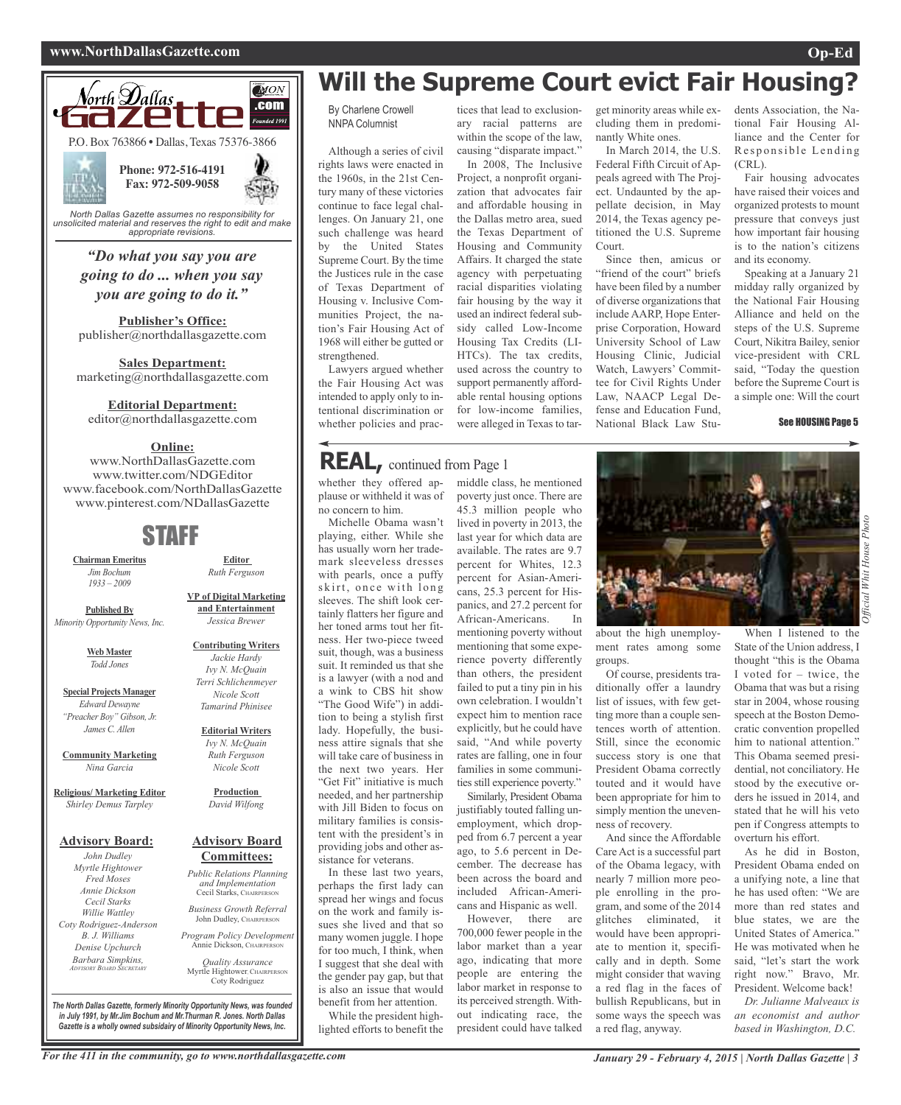#### **www.NorthDallasGazette.com Op-Ed**



*unsolicited material and reserves the right to edit and make appropriate revisions.*

### *"Do what you say you are going to do ... when you say you are going to do it."*

**Publisher's Office:** publisher@northdallasgazette.com

**Sales Department:** marketing@northdallasgazette.com

**Editorial Department:**

editor@northdallasgazette.com

### **Online:**

www.NorthDallasGazette.com www.twitter.com/NDGEditor www.facebook.com/NorthDallasGazette www.pinterest.com/NDallasGazette

### STAFF

**Chairman Emeritus** *Jim Bochum 1933 – 2009*

**Published By** *Minority Opportunity News, Inc.*

> **Web Master** *Todd Jones*

**Special Projects Manager** *Edward Dewayne "Preacher Boy" Gibson, Jr. James C. Allen*

**Community Marketing** *Nina Garcia*

**Religious/ Marketing Editor** *Shirley Demus Tarpley*

#### **Advisory Board:**

*John Dudley Myrtle Hightower Fred Moses Annie Dickson Cecil Starks Willie Wattley Coty Rodriguez-Anderson B. J. Williams Denise Upchurch Barbara Simpkins, ADVISORY BOARD SECRETARY*

*Jessica Brewer* **Contributing Writers** *Jackie Hardy*

**Editor** *Ruth Ferguson*

**VP of Digital Marketing and Entertainment**

*Ivy N. McQuain Terri Schlichenmeyer Nicole Scott Tamarind Phinisee*

**Editorial Writers** *Ivy N. McQuain Ruth Ferguson Nicole Scott*

**Production** *David Wilfong*

#### **Advisory Board Committees:**

*Public Relations Planning and Implementation* Cecil Starks, CHAIRPERSON *Business Growth Referral*

John Dudley, CHAIRPERSON

*Program Policy Development* Annie Dickson, Chairper

*Quality Assurance* Myrtle Hightower, CHAIRPERSON Coty Rodriguez

*The North Dallas Gazette, formerly Minority Opportunity News, was founded in July 1991, by Mr.Jim Bochum and Mr.Thurman R. Jones. North Dallas Gazette is a wholly owned subsidairy of Minority Opportunity News, Inc.*

### **Will the Supreme Court evict Fair Housing?**

By Charlene Crowell NNPA Columnist

Although a series of civil rights laws were enacted in the 1960s, in the 21st Century many of these victories continue to face legal challenges. On January 21, one such challenge was heard by the United States Supreme Court. By the time the Justices rule in the case of Texas Department of Housing v. Inclusive Communities Project, the nation's Fair Housing Act of 1968 will either be gutted or strengthened.

Lawyers argued whether the Fair Housing Act was intended to apply only to intentional discrimination or whether policies and prac-

### **REAL,** continued from Page <sup>1</sup>

whether they offered applause or withheld it was of no concern to him.

Michelle Obama wasn't playing, either. While she has usually worn her trademark sleeveless dresses with pearls, once a puffy skirt, once with long sleeves. The shift look certainly flatters her figure and her toned arms tout her fitness. Her two-piece tweed suit, though, was a business suit. It reminded us that she is a lawyer (with a nod and a wink to CBS hit show "The Good Wife") in addition to being a stylish first lady. Hopefully, the business attire signals that she will take care of business in the next two years. Her "Get Fit" initiative is much needed, and her partnership with Jill Biden to focus on military families is consistent with the president's in providing jobs and other assistance for veterans.

In these last two years, perhaps the first lady can spread her wings and focus on the work and family issues she lived and that so many women juggle. I hope for too much, I think, when I suggest that she deal with the gender pay gap, but that is also an issue that would benefit from her attention.

While the president highlighted efforts to benefit the

tices that lead to exclusionary racial patterns are within the scope of the law, causing "disparate impact."

In 2008, The Inclusive Project, a nonprofit organization that advocates fair and affordable housing in the Dallas metro area, sued the Texas Department of Housing and Community Affairs. It charged the state agency with perpetuating racial disparities violating fair housing by the way it used an indirect federal subsidy called Low-Income Housing Tax Credits (LI-HTCs). The tax credits, used across the country to support permanently affordable rental housing options for low-income families, were alleged in Texas to tar-

middle class, he mentioned poverty just once. There are 45.3 million people who lived in poverty in 2013, the last year for which data are available. The rates are 9.7 percent for Whites, 12.3 percent for Asian-Americans, 25.3 percent for Hispanics, and 27.2 percent for African-Americans. In mentioning poverty without mentioning that some experience poverty differently than others, the president failed to put a tiny pin in his own celebration. I wouldn't expect him to mention race explicitly, but he could have said, "And while poverty rates are falling, one in four families in some communities still experience poverty." Similarly, President Obama justifiably touted falling unemployment, which dropped from 6.7 percent a year ago, to 5.6 percent in December. The decrease has been across the board and included African-Americans and Hispanic as well. However, there are 700,000 fewer people in the labor market than a year ago, indicating that more people are entering the labor market in response to its perceived strength. Without indicating race, the president could have talked

get minority areas while excluding them in predominantly White ones.

In March 2014, the U.S. Federal Fifth Circuit of Appeals agreed with The Project. Undaunted by the appellate decision, in May 2014, the Texas agency petitioned the U.S. Supreme Court.

Since then, amicus or 'friend of the court" briefs have been filed by a number of diverse organizations that include AARP, Hope Enterprise Corporation, Howard University School of Law Housing Clinic, Judicial Watch, Lawyers' Committee for Civil Rights Under Law, NAACP Legal Defense and Education Fund, National Black Law Stu-

dents Association, the National Fair Housing Alliance and the Center for Responsible Lending (CRL).

Fair housing advocates have raised their voices and organized protests to mount pressure that conveys just how important fair housing is to the nation's citizens and its economy.

Speaking at a January 21 midday rally organized by the National Fair Housing Alliance and held on the steps of the U.S. Supreme Court, Nikitra Bailey, senior vice-president with CRL said, "Today the question before the Supreme Court is a simple one: Will the court

#### See HOUSING Page 5



about the high unemployment rates among some groups.

Of course, presidents traditionally offer a laundry list of issues, with few getting more than a couple sentences worth of attention. Still, since the economic success story is one that President Obama correctly touted and it would have been appropriate for him to simply mention the unevenness of recovery.

And since the Affordable Care Act is a successful part of the Obama legacy, with nearly 7 million more people enrolling in the program, and some of the 2014 glitches eliminated, it would have been appropriate to mention it, specifically and in depth. Some might consider that waving a red flag in the faces of bullish Republicans, but in some ways the speech was a red flag, anyway.

When I listened to the State of the Union address, I thought "this is the Obama I voted for – twice, the Obama that was but a rising star in 2004, whose rousing speech at the Boston Democratic convention propelled him to national attention." This Obama seemed presidential, not conciliatory. He stood by the executive orders he issued in 2014, and stated that he will his veto pen if Congress attempts to overturn his effort.

As he did in Boston, President Obama ended on a unifying note, a line that he has used often: "We are more than red states and blue states, we are the United States of America." He was motivated when he said, "let's start the work right now." Bravo, Mr. President. Welcome back!

*Dr. Julianne Malveaux is an economist and author based in Washington, D.C.*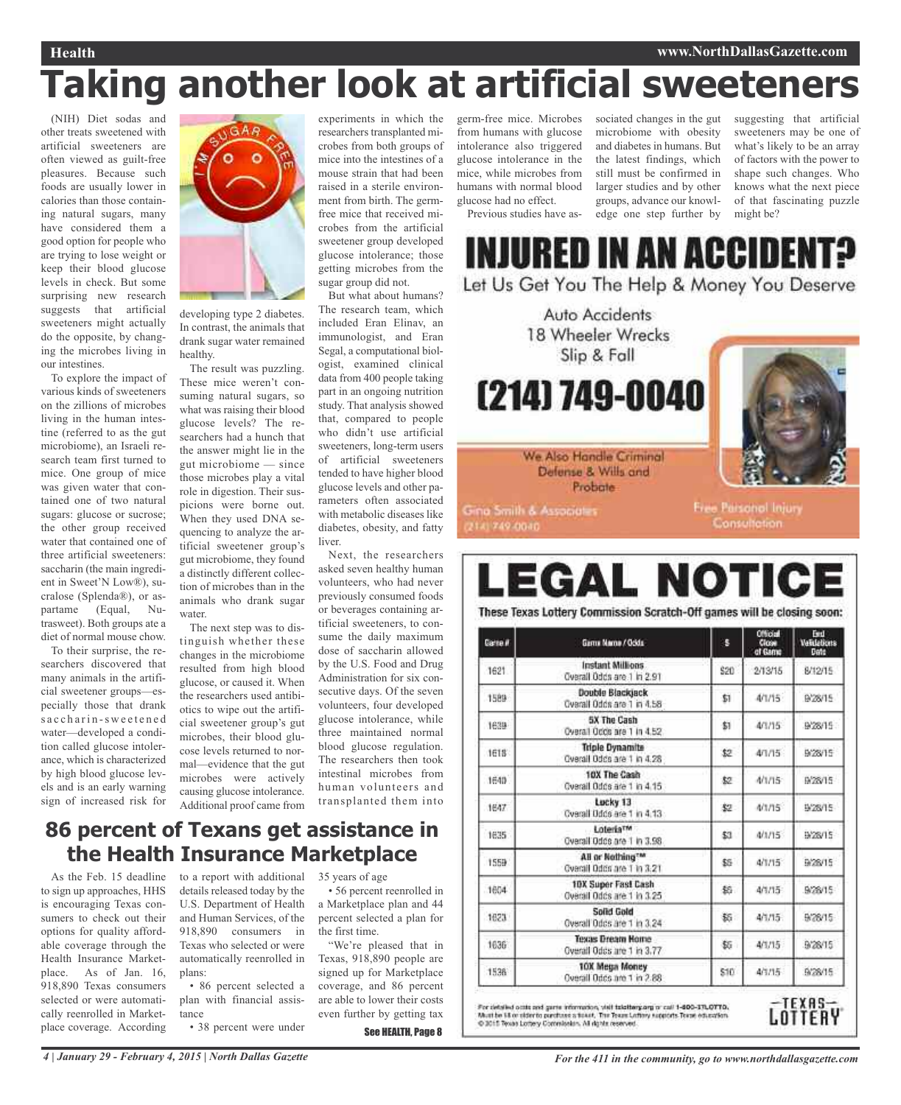### **Health www.NorthDallasGazette.com**

## **Taking another look at artificial sweeteners**

(NIH) Diet sodas and other treats sweetened with artificial sweeteners are often viewed as guilt-free pleasures. Because such foods are usually lower in calories than those containing natural sugars, many have considered them a good option for people who are trying to lose weight or keep their blood glucose levels in check. But some surprising new research suggests that artificial sweeteners might actually do the opposite, by changing the microbes living in our intestines.

To explore the impact of various kinds of sweeteners on the zillions of microbes living in the human intestine (referred to as the gut microbiome), an Israeli research team first turned to mice. One group of mice was given water that contained one of two natural sugars: glucose or sucrose; the other group received water that contained one of three artificial sweeteners: saccharin (the main ingredient in Sweet'N Low®), sucralose (Splenda®), or aspartame (Equal, Nutrasweet). Both groups ate a diet of normal mouse chow.

To their surprise, the researchers discovered that many animals in the artificial sweetener groups—especially those that drank s a c charin-sweetened water—developed a condition called glucose intolerance, which is characterized by high blood glucose levels and is an early warning sign of increased risk for



developing type 2 diabetes. In contrast, the animals that drank sugar water remained healthy.

The result was puzzling. These mice weren't consuming natural sugars, so what was raising their blood glucose levels? The researchers had a hunch that the answer might lie in the gut microbiome — since those microbes play a vital role in digestion. Their suspicions were borne out. When they used DNA sequencing to analyze the artificial sweetener group's gut microbiome, they found a distinctly different collection of microbes than in the animals who drank sugar water.

The next step was to distinguish whether these changes in the microbiome resulted from high blood glucose, or caused it. When the researchers used antibiotics to wipe out the artificial sweetener group's gut microbes, their blood glucose levels returned to normal—evidence that the gut microbes were actively causing glucose intolerance. Additional proof came from experiments in which the researchers transplanted microbes from both groups of mice into the intestines of a mouse strain that had been raised in a sterile environment from birth. The germfree mice that received microbes from the artificial sweetener group developed glucose intolerance; those getting microbes from the sugar group did not.

But what about humans? The research team, which included Eran Elinav, an immunologist, and Eran Segal, a computational biologist, examined clinical data from 400 people taking part in an ongoing nutrition study. That analysis showed that, compared to people who didn't use artificial sweeteners, long-term users of artificial sweeteners tended to have higher blood glucose levels and other parameters often associated with metabolic diseases like diabetes, obesity, and fatty liver.

Next, the researchers asked seven healthy human volunteers, who had never previously consumed foods or beverages containing artificial sweeteners, to consume the daily maximum dose of saccharin allowed by the U.S. Food and Drug Administration for six consecutive days. Of the seven volunteers, four developed glucose intolerance, while three maintained normal blood glucose regulation. The researchers then took intestinal microbes from human volunteers and transplanted them into

### **86 percent of Texans get assistance in the Health Insurance Marketplace**

As the Feb. 15 deadline to sign up approaches, HHS is encouraging Texas consumers to check out their options for quality affordable coverage through the Health Insurance Marketplace. As of Jan. 16, 918,890 Texas consumers selected or were automatically reenrolled in Marketplace coverage. According

to a report with additional details released today by the U.S. Department of Health and Human Services, of the 918,890 consumers in Texas who selected or were automatically reenrolled in plans:

• 86 percent selected a plan with financial assistance

• 38 percent were under

35 years of age

• 56 percent reenrolled in a Marketplace plan and 44 percent selected a plan for the first time.

"We're pleased that in Texas, 918,890 people are signed up for Marketplace coverage, and 86 percent are able to lower their costs even further by getting tax

See HEALTH, Page 8

germ-free mice. Microbes from humans with glucose intolerance also triggered glucose intolerance in the mice, while microbes from humans with normal blood glucose had no effect.

Previous studies have as-

sociated changes in the gut suggesting that artificial microbiome with obesity and diabetes in humans. But the latest findings, which still must be confirmed in larger studies and by other groups, advance our knowledge one step further by

sweeteners may be one of what's likely to be an array of factors with the power to shape such changes. Who knows what the next piece of that fascinating puzzle might be?

INJURED IN AN ACCIDENT? Let Us Get You The Help & Money You Deserve

Auto Accidents 18 Wheeler Wrecks Slip & Fall (214) 749-0040

We Also Handle Criminal



Defense & Wills and Probate

**Gina Smith & Associates** 

2141749-0040

Free Parsonol Injury Consultation.

# **LEGAL NOTICI**

These Texas Lottery Commission Scratch-Off games will be closing soon:

| Carte # | Gama Nama / Ocida                                          | s    | <b>Official</b><br>Close<br>of Game | <b>Fact</b><br><b>Validations</b><br>Date |
|---------|------------------------------------------------------------|------|-------------------------------------|-------------------------------------------|
| 1621    | Instant Millions<br>Overall Odds are 1 in 2.91             | \$20 | 2/13/15                             | 8/12/15                                   |
| 1589    | Double Blackjack<br>Overall Odds are 1 in 4.58             | \$1  | 4/1/15                              | 9/28/15                                   |
| 1638    | 5X The Cash<br>Overall Occs are 1 in 4.52                  | \$1  | 4/1/15                              | 9/28/15                                   |
| 1618    | <b>Triple Dynamite</b><br>Overail Odds are 1 in 4.28       | \$2  | 4/1/15                              | 9/28/15                                   |
| 1640    | 10X The Cash<br>Quarail Odds are 1 in 4.15                 | \$2  | 4/1/15                              | B/28/15                                   |
| 1647    | Lucky 13<br>Cyarall Udds are 1 in 4.13                     | 82.  | 4/1/15                              | 9/28/15                                   |
| 1635    | LoteriaTM<br>Overall Odds are 1 in 3.98.                   | \$3  | 4/1/15                              | 9/28/15                                   |
| 1559    | All or Nothing <sup>TM</sup><br>Querall Odds are 1 to 3:21 | \$5  | 4/1/15                              | 9/26/15                                   |
| 1604    | 10X Super Fast Cash<br>Overall Odds are 1 in 3.25          | 銘    | 4/1/15                              | 9/26/15                                   |
| 1623    | Solid Gold<br>Overall Odds are 1 in 3.24                   | 85   | 4/1/15                              | 9/28/15                                   |
| 1636    | Texas Dream Home<br>Overall Odds are 1 in 3.77             | \$5  | 4/1/15                              | 9/26/15                                   |
| 1538    | 10X Mega Money<br>Overall Odds are 1 in 2.88               | \$10 | 4/1/15                              | 9/28/15                                   |

For detailed octis and game information, visit talatterg.org or call 1-800-37L07TD.<br>Must be 58 or older to parchase a toxat. The Treas Latinty supports Texas education.<br>© 2015 Texas Lottery Commission. All rights reserved.

<u>(EXAS</u> OTTEAY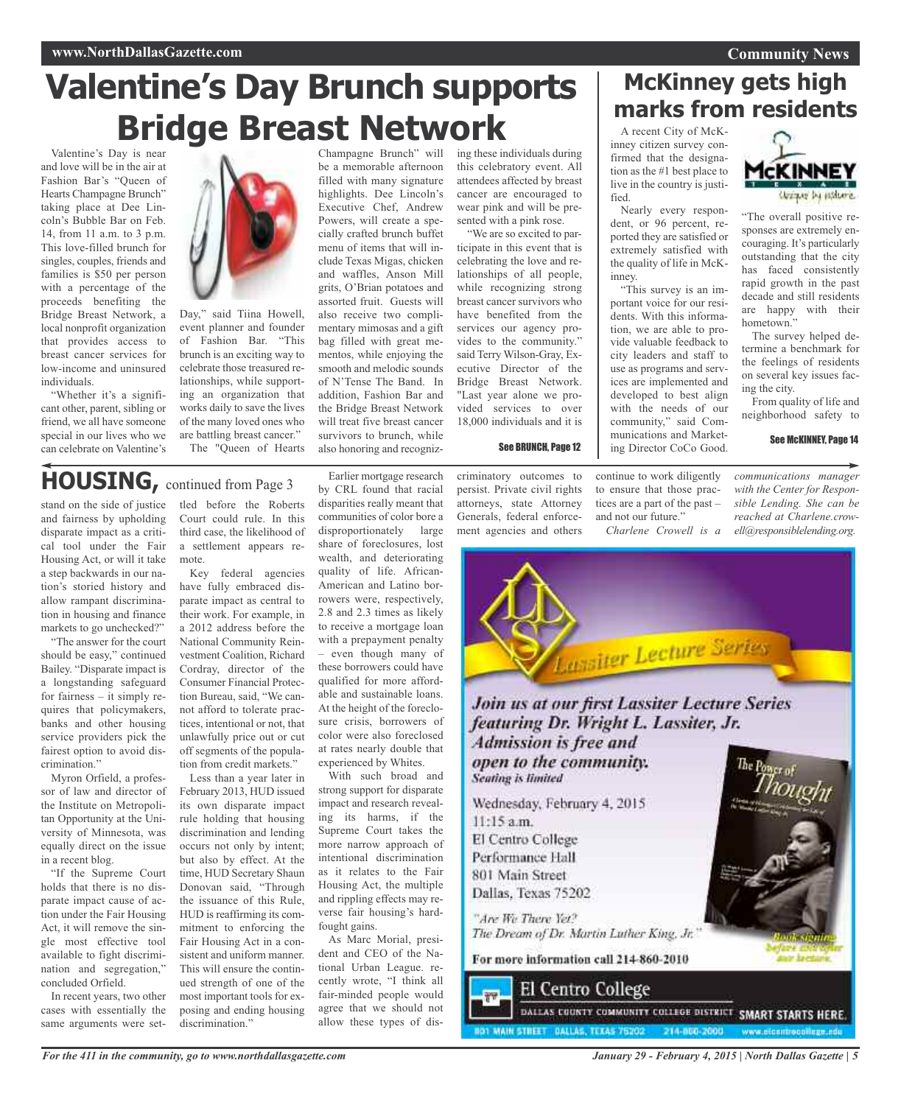## **Valentine's Day Brunch supports Bridge Breast Network**

be a memorable afternoon filled with many signature highlights. Dee Lincoln's Executive Chef, Andrew Powers, will create a specially crafted brunch buffet menu of items that will include Texas Migas, chicken and waffles, Anson Mill grits, O'Brian potatoes and assorted fruit. Guests will also receive two complimentary mimosas and a gift bag filled with great mementos, while enjoying the smooth and melodic sounds of N'Tense The Band. In addition, Fashion Bar and the Bridge Breast Network will treat five breast cancer survivors to brunch, while

Valentine's Day is near and love will be in the air at Fashion Bar's "Queen of Hearts Champagne Brunch" taking place at Dee Lincoln's Bubble Bar on Feb. 14, from 11 a.m. to 3 p.m. This love-filled brunch for singles, couples, friends and families is \$50 per person with a percentage of the proceeds benefiting the Bridge Breast Network, a local nonprofit organization that provides access to breast cancer services for low-income and uninsured individuals.

"Whether it's a significant other, parent, sibling or friend, we all have someone special in our lives who we can celebrate on Valentine's



Day," said Tiina Howell, event planner and founder of Fashion Bar. "This brunch is an exciting way to celebrate those treasured relationships, while supporting an organization that works daily to save the lives of the many loved ones who are battling breast cancer." The "Queen of Hearts

### **HOUSING,** continued from Page <sup>3</sup>

stand on the side of justice and fairness by upholding disparate impact as a critical tool under the Fair Housing Act, or will it take a step backwards in our nation's storied history and allow rampant discrimination in housing and finance markets to go unchecked?"

"The answer for the court should be easy," continued Bailey. "Disparate impact is a longstanding safeguard for fairness – it simply requires that policymakers, banks and other housing service providers pick the fairest option to avoid discrimination."

Myron Orfield, a professor of law and director of the Institute on Metropolitan Opportunity at the University of Minnesota, was equally direct on the issue in a recent blog.

"If the Supreme Court holds that there is no disparate impact cause of action under the Fair Housing Act, it will remove the single most effective tool available to fight discrimination and segregation," concluded Orfield.

In recent years, two other cases with essentially the same arguments were settled before the Roberts Court could rule. In this third case, the likelihood of a settlement appears remote.

Key federal agencies have fully embraced disparate impact as central to their work. For example, in a 2012 address before the National Community Reinvestment Coalition, Richard Cordray, director of the Consumer Financial Protection Bureau, said, "We cannot afford to tolerate practices, intentional or not, that unlawfully price out or cut off segments of the population from credit markets."

Less than a year later in February 2013, HUD issued its own disparate impact rule holding that housing discrimination and lending occurs not only by intent; but also by effect. At the time, HUD Secretary Shaun Donovan said, "Through the issuance of this Rule, HUD is reaffirming its commitment to enforcing the Fair Housing Act in a consistent and uniform manner. This will ensure the continued strength of one of the most important tools for exposing and ending housing discrimination."

*For the 411 in the community, go to www.northdallasgazette.com*

Earlier mortgage research by CRL found that racial disparities really meant that communities of color bore a disproportionately large share of foreclosures, lost wealth, and deteriorating quality of life. African-American and Latino borrowers were, respectively, 2.8 and 2.3 times as likely to receive a mortgage loan with a prepayment penalty – even though many of these borrowers could have qualified for more affordable and sustainable loans. At the height of the foreclosure crisis, borrowers of color were also foreclosed at rates nearly double that experienced by Whites. also honoring and recogniz-

With such broad and strong support for disparate impact and research revealing its harms, if the Supreme Court takes the more narrow approach of intentional discrimination as it relates to the Fair Housing Act, the multiple and rippling effects may reverse fair housing's hardfought gains.

As Marc Morial, president and CEO of the National Urban League. recently wrote, "I think all fair-minded people would agree that we should not allow these types of dis-

Champagne Brunch" will ing these individuals during this celebratory event. All attendees affected by breast cancer are encouraged to wear pink and will be presented with a pink rose.

"We are so excited to participate in this event that is celebrating the love and relationships of all people, while recognizing strong breast cancer survivors who have benefited from the services our agency provides to the community." said Terry Wilson-Gray, Executive Director of the Bridge Breast Network. "Last year alone we provided services to over 18,000 individuals and it is

See BRUNCH, Page 12

criminatory outcomes to persist. Private civil rights attorneys, state Attorney Generals, federal enforcement agencies and others

"This survey is an important voice for our residents. With this information, we are able to prohas faced consistently rapid growth in the past decade and still residents are happy with their hometown." The survey helped de-

continue to work diligently to ensure that those practices are a part of the past – and not our future." *Charlene Crowell is a* *communications manager with the Center for Responsible Lending. She can be reached at Charlene.crowell@responsiblelending.org.*

"The overall positive responses are extremely encouraging. It's particularly outstanding that the city

*Unique by palare* 

MCKINNEY

termine a benchmark for the feelings of residents on several key issues fac-

From quality of life and neighborhood safety to

See McKINNEY, Page 14

ing the city.

### **McKinney gets high marks from residents**

A recent City of McKinney citizen survey confirmed that the designation as the #1 best place to live in the country is justified.

Nearly every respondent, or 96 percent, reported they are satisfied or extremely satisfied with the quality of life in McKinney.

vide valuable feedback to city leaders and staff to use as programs and services are implemented and developed to best align with the needs of our community," said Communications and Marketing Director CoCo Good.

**Lassiter Lecture Series** Join us at our first Lassiter Lecture Series featuring Dr. Wright L. Lassiter, Jr. Admission is free and open to the community. **Seating** is limited Wednesday, February 4, 2015  $11:15$  a.m. El Centro College Performance Hall 801 Main Street Dallas, Texas 75202 "Are We There Yet? The Dream of Dr. Martin Luther King, Jr. For more information call 214-860-2010 El Centro College DALLAS COUNTY COMMUNITY COLLEGE DISTRICT SMART STARTS HERE. **D1 MAIN STREET BALLAS, TEXAS 76202** 214-000-2000 *January 29 - February 4, 2015 | North Dallas Gazette | 5*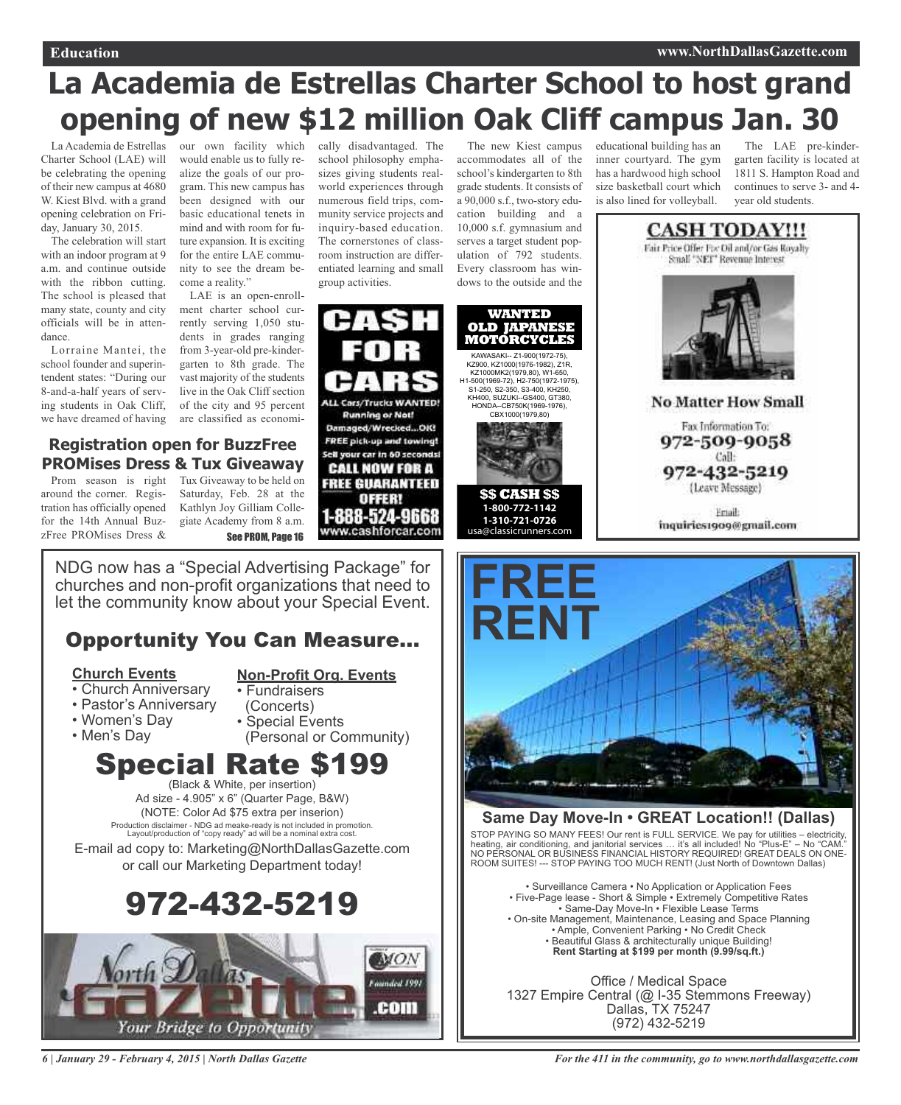## **La Academia de Estrellas Charter School to host grand opening of new \$12 million Oak Cliff campus Jan. 30**

Charter School (LAE) will be celebrating the opening of their new campus at 4680 W. Kiest Blvd. with a grand opening celebration on Friday, January 30, 2015.

The celebration will start with an indoor program at 9 a.m. and continue outside with the ribbon cutting. The school is pleased that many state, county and city officials will be in attendance.

Lorraine Mantei, the school founder and superintendent states: "During our 8-and-a-half years of serving students in Oak Cliff, we have dreamed of having

La Academia de Estrellas our own facility which cally disadvantaged. The would enable us to fully realize the goals of our program. This new campus has been designed with our basic educational tenets in mind and with room for future expansion. It is exciting for the entire LAE community to see the dream become a reality."

LAE is an open-enrollment charter school currently serving 1,050 students in grades ranging from 3-year-old pre-kindergarten to 8th grade. The vast majority of the students live in the Oak Cliff section of the city and 95 percent are classified as economi-

### **Registration open for BuzzFree PROMises Dress & Tux Giveaway**

Prom season is right around the corner. Registration has officially opened for the 14th Annual BuzzFree PROMises Dress &

Tux Giveaway to be held on Saturday, Feb. 28 at the Kathlyn Joy Gilliam Collegiate Academy from 8 a.m. See PROM, Page 16

NDG now has a "Special Advertising Package" for churches and non-profit organizations that need to let the community know about your Special Event.

### Opportunity You Can Measure...

### **Church Events**

### **Non-Profit Org. Events** • Fundraisers

- Church Anniversary
- Pastor's Anniversary
- Women's Day
- Men's Day
- (Concerts) • Special Events
- (Personal or Community)

### **Special Rate \$19** (Black & White, per insertion)

Ad size - 4.905" x 6" (Quarter Page, B&W) (NOTE: Color Ad \$75 extra per inserion) Production disclaimer - NDG ad meake-ready is not included in promotion. Layout/production of "copy ready" ad will be a nominal extra cost.

E-mail ad copy to: Marketing@NorthDallasGazette.com or call our Marketing Department today!





school philosophy emphasizes giving students realworld experiences through numerous field trips, community service projects and inquiry-based education. The cornerstones of classroom instruction are differentiated learning and small group activities.

**ALL Cars/Trucks WANTED Running or Not!** 

Damaged/Wrecked...OIG

FREE pick-up and towing! Sell your car in 60 seconds

**CALL NOW FOR A** 

**FREE GUARANTEED** 

OFFER!

1-888-524-9668

www.cashforcar.com

The new Kiest campus accommodates all of the school's kindergarten to 8th grade students. It consists of a 90,000 s.f., two-story education building and a 10,000 s.f. gymnasium and serves a target student population of 792 students. Every classroom has windows to the outside and the

**WANTED OLD JAPANESI MOTORCYCLES**  KAWASAKI-- Z1-900(1972-75), KZ900, KZ1000(1976-1982), Z1R, KZ1000MK2(1979,80), W1-650, H1-500(1969-72), H2-750(1972-1975), S1-250, S2-350, S3-400, KH250, KH400, SUZUKI--GS400, GT380, HONDA--CB750K(1969-1976), CBX1000(1979,80)



**1-800-772-1142 1-310-721-0726**  usa@classicrunners.com educational building has an inner courtyard. The gym has a hardwood high school size basketball court which is also lined for volleyball.

The LAE pre-kindergarten facility is located at 1811 S. Hampton Road and continues to serve 3- and 4 year old students.





### **Same Day Move-In • GREAT Location!! (Dallas)**

STOP PAYING SO MANY FEES! Our rent is FULL SERVICE. We pay for utilities – electricity, heating, air conditioning, and janitorial services … it's all included! No "Plus-E" – No "CAM." NO PERSONAL OR BUSINESS FINANCIAL HISTORY REQUIRED! GREAT DEALS ON ONE-ROOM SUITES! --- STOP PAYING TOO MUCH RENT! (Just North of Downtown Dallas)

• Surveillance Camera • No Application or Application Fees • Five-Page lease - Short & Simple • Extremely Competitive Rates • Same-Day Move-In • Flexible Lease Terms • On-site Management, Maintenance, Leasing and Space Planning • Ample, Convenient Parking • No Credit Check • Beautiful Glass & architecturally unique Building! **Rent Starting at \$199 per month (9.99/sq.ft.)**

Office / Medical Space 1327 Empire Central (@ I-35 Stemmons Freeway) Dallas, TX 75247 (972) 432-5219

*6 | January 29 - February 4, 2015 | North Dallas Gazette*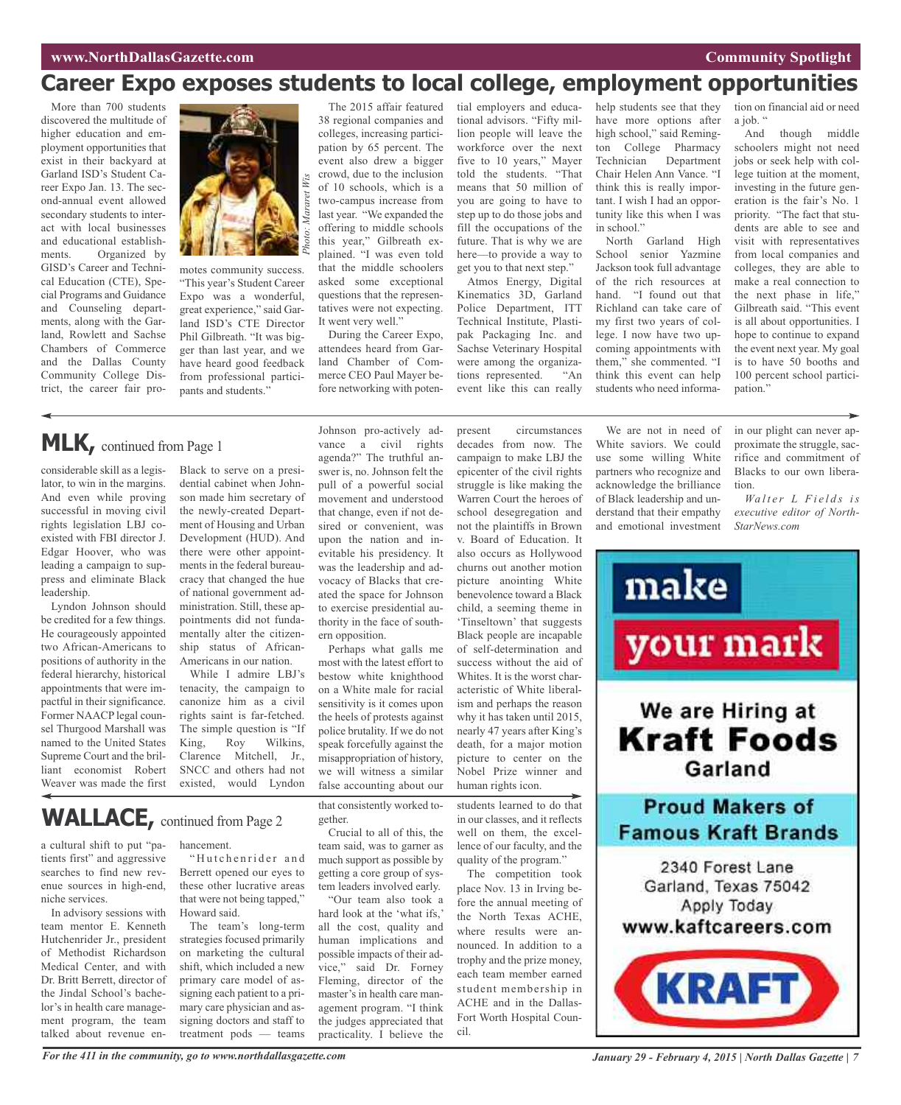### **Career Expo exposes students to local college, employment opportunities**

More than 700 students discovered the multitude of higher education and employment opportunities that exist in their backyard at Garland ISD's Student Career Expo Jan. 13. The second-annual event allowed secondary students to interact with local businesses and educational establishments. Organized by GISD's Career and Technical Education (CTE), Special Programs and Guidance and Counseling departments, along with the Garland, Rowlett and Sachse Chambers of Commerce and the Dallas County Community College District, the career fair pro-



motes community success. "This year's Student Career Expo was a wonderful, great experience," said Garland ISD's CTE Director Phil Gilbreath. "It was bigger than last year, and we have heard good feedback from professional participants and students.'

The 2015 affair featured 38 regional companies and colleges, increasing participation by 65 percent. The event also drew a bigger crowd, due to the inclusion of 10 schools, which is a two-campus increase from last year. "We expanded the offering to middle schools this year," Gilbreath explained. "I was even told that the middle schoolers asked some exceptional questions that the representatives were not expecting. It went very well."

During the Career Expo, attendees heard from Garland Chamber of Commerce CEO Paul Mayer before networking with poten-

Johnson pro-actively ad-

tial employers and educational advisors. "Fifty million people will leave the workforce over the next five to 10 years," Mayer told the students. "That means that 50 million of you are going to have to step up to do those jobs and fill the occupations of the future. That is why we are here—to provide a way to get you to that next step." Atmos Energy, Digital

Kinematics 3D, Garland Police Department, ITT Technical Institute, Plastipak Packaging Inc. and Sachse Veterinary Hospital were among the organizations represented. "An event like this can really

present circumstances

help students see that they have more options after high school," said Remington College Pharmacy Technician Department Chair Helen Ann Vance. "I think this is really important. I wish I had an opportunity like this when I was in school."

North Garland High School senior Yazmine Jackson took full advantage of the rich resources at hand. "I found out that Richland can take care of my first two years of college. I now have two upcoming appointments with them," she commented. "I think this event can help students who need informa-

tion on financial aid or need a job. "

And though middle schoolers might not need jobs or seek help with college tuition at the moment, investing in the future generation is the fair's No. 1 priority. "The fact that students are able to see and visit with representatives from local companies and colleges, they are able to make a real connection to the next phase in life," Gilbreath said. "This event is all about opportunities. I hope to continue to expand the event next year. My goal is to have 50 booths and 100 percent school participation."

### **MLK,** continued from Page <sup>1</sup>

considerable skill as a legislator, to win in the margins. And even while proving successful in moving civil rights legislation LBJ coexisted with FBI director J. Edgar Hoover, who was leading a campaign to suppress and eliminate Black leadership.

Lyndon Johnson should be credited for a few things. He courageously appointed two African-Americans to positions of authority in the federal hierarchy, historical appointments that were impactful in their significance. Former NAACP legal counsel Thurgood Marshall was named to the United States Supreme Court and the brilliant economist Robert Weaver was made the first

a cultural shift to put "patients first" and aggressive searches to find new revenue sources in high-end,

niche services.

Black to serve on a presidential cabinet when Johnson made him secretary of the newly-created Department of Housing and Urban Development (HUD). And there were other appointments in the federal bureaucracy that changed the hue of national government administration. Still, these appointments did not fundamentally alter the citizenship status of African-Americans in our nation.

While I admire LBJ's tenacity, the campaign to canonize him as a civil rights saint is far-fetched. The simple question is "If King, Roy Wilkins, Clarence Mitchell, Jr., SNCC and others had not existed, would Lyndon

vance a civil rights agenda?" The truthful answer is, no. Johnson felt the pull of a powerful social movement and understood that change, even if not desired or convenient, was upon the nation and inevitable his presidency. It was the leadership and advocacy of Blacks that created the space for Johnson to exercise presidential authority in the face of southern opposition.

Perhaps what galls me most with the latest effort to bestow white knighthood on a White male for racial sensitivity is it comes upon the heels of protests against police brutality. If we do not speak forcefully against the misappropriation of history, we will witness a similar false accounting about our

that consistently worked together.

Crucial to all of this, the team said, was to garner as much support as possible by getting a core group of system leaders involved early.

"Our team also took a hard look at the 'what ifs,' all the cost, quality and human implications and possible impacts of their advice," said Dr. Forney Fleming, director of the master's in health care management program. "I think the judges appreciated that practicality. I believe the

decades from now. The campaign to make LBJ the epicenter of the civil rights struggle is like making the Warren Court the heroes of school desegregation and not the plaintiffs in Brown v. Board of Education. It also occurs as Hollywood churns out another motion picture anointing White benevolence toward a Black child, a seeming theme in 'Tinseltown' that suggests Black people are incapable of self-determination and success without the aid of Whites. It is the worst characteristic of White liberalism and perhaps the reason why it has taken until 2015, nearly 47 years after King's death, for a major motion picture to center on the Nobel Prize winner and human rights icon.

students learned to do that in our classes, and it reflects well on them, the excellence of our faculty, and the quality of the program."

The competition took place Nov. 13 in Irving before the annual meeting of the North Texas ACHE, where results were announced. In addition to a trophy and the prize money, each team member earned student membership in ACHE and in the Dallas-Fort Worth Hospital Council.

We are not in need of White saviors. We could use some willing White partners who recognize and acknowledge the brilliance of Black leadership and understand that their empathy and emotional investment in our plight can never approximate the struggle, sacrifice and commitment of Blacks to our own liberation.

*Wa l t e r L F i e l d s is executive editor of North-StarNews.com*



#### In advisory sessions with team mentor E. Kenneth

WALLACE, continued from Page 2

Hutchenrider Jr., president of Methodist Richardson Medical Center, and with Dr. Britt Berrett, director of the Jindal School's bachelor's in health care management program, the team talked about revenue en-

#### hancement.

"Hutchenrider and Berrett opened our eyes to these other lucrative areas that were not being tapped," Howard said.

The team's long-term strategies focused primarily on marketing the cultural shift, which included a new primary care model of assigning each patient to a primary care physician and assigning doctors and staff to treatment pods — teams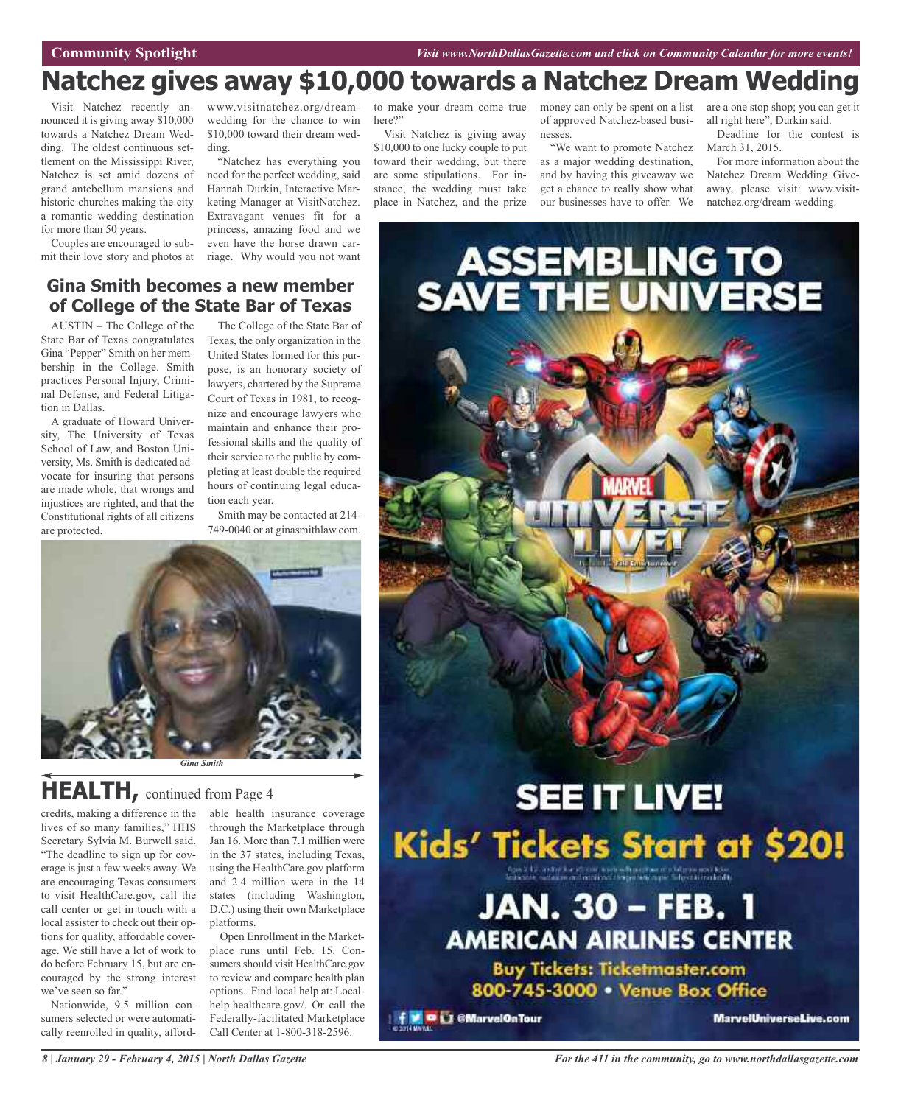### **Natchez gives away \$10,000 towards a Natchez Dream Wedding**

Visit Natchez recently announced it is giving away \$10,000 towards a Natchez Dream Wedding. The oldest continuous settlement on the Mississippi River, Natchez is set amid dozens of grand antebellum mansions and historic churches making the city a romantic wedding destination for more than 50 years.

Couples are encouraged to submit their love story and photos at

www.visitnatchez.org/dreamwedding for the chance to win \$10,000 toward their dream wedding.

"Natchez has everything you need for the perfect wedding, said Hannah Durkin, Interactive Marketing Manager at VisitNatchez. Extravagant venues fit for a princess, amazing food and we even have the horse drawn carriage. Why would you not want to make your dream come true here?"

Visit Natchez is giving away \$10,000 to one lucky couple to put toward their wedding, but there are some stipulations. For instance, the wedding must take place in Natchez, and the prize

of approved Natchez-based businesses.

"We want to promote Natchez as a major wedding destination, and by having this giveaway we get a chance to really show what our businesses have to offer. We

money can only be spent on a list are a one stop shop; you can get it all right here", Durkin said.

Deadline for the contest is March 31, 2015.

For more information about the Natchez Dream Wedding Giveaway, please visit: www.visitnatchez.org/dream-wedding.

### **Gina Smith becomes a new member of College of the State Bar of Texas**

AUSTIN – The College of the State Bar of Texas congratulates Gina "Pepper" Smith on her membership in the College. Smith practices Personal Injury, Criminal Defense, and Federal Litigation in Dallas.

A graduate of Howard University, The University of Texas School of Law, and Boston University, Ms. Smith is dedicated advocate for insuring that persons are made whole, that wrongs and injustices are righted, and that the Constitutional rights of all citizens are protected.

The College of the State Bar of Texas, the only organization in the United States formed for this purpose, is an honorary society of lawyers, chartered by the Supreme Court of Texas in 1981, to recognize and encourage lawyers who maintain and enhance their professional skills and the quality of their service to the public by completing at least double the required hours of continuing legal education each year.

Smith may be contacted at 214- 749-0040 or at ginasmithlaw.com.



### **HEALTH,** continued from Page <sup>4</sup>

credits, making a difference in the able health insurance coverage lives of so many families," HHS Secretary Sylvia M. Burwell said. "The deadline to sign up for coverage is just a few weeks away. We are encouraging Texas consumers to visit HealthCare.gov, call the call center or get in touch with a local assister to check out their options for quality, affordable coverage. We still have a lot of work to do before February 15, but are encouraged by the strong interest we've seen so far."

Nationwide, 9.5 million consumers selected or were automatically reenrolled in quality, affordthrough the Marketplace through Jan 16. More than 7.1 million were in the 37 states, including Texas, using the HealthCare.gov platform and 2.4 million were in the 14 states (including Washington, D.C.) using their own Marketplace platforms.

Open Enrollment in the Marketplace runs until Feb. 15. Consumers should visit HealthCare.gov to review and compare health plan options. Find local help at: Localhelp.healthcare.gov/. Or call the Federally-facilitated Marketplace Call Center at 1-800-318-2596.

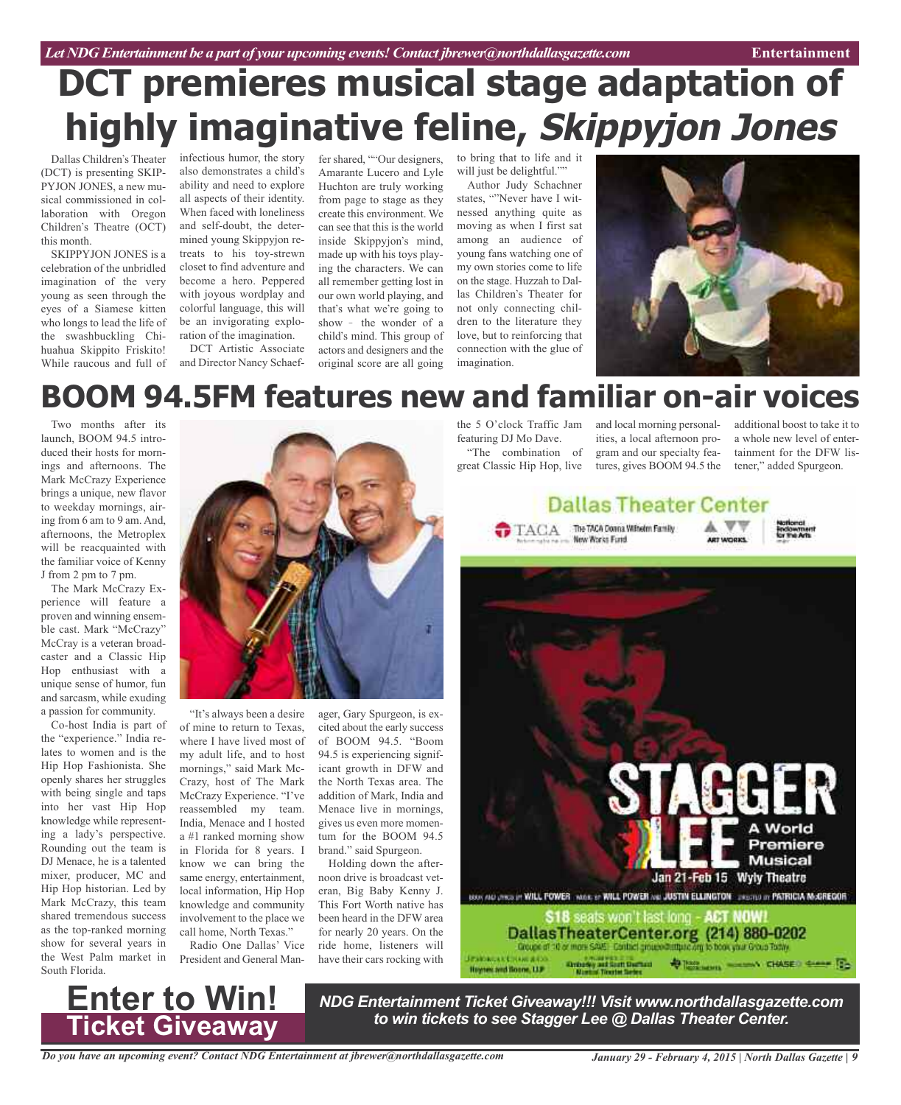## **DCT premieres musical stage adaptation of highly imaginative feline, Skippyjon Jones**

Dallas Children's Theater (DCT) is presenting SKIP-PYJON JONES, a new musical commissioned in collaboration with Oregon Children's Theatre (OCT) this month.

SKIPPYJON JONES is a celebration of the unbridled imagination of the very young as seen through the eyes of a Siamese kitten who longs to lead the life of the swashbuckling Chihuahua Skippito Friskito! While raucous and full of

infectious humor, the story fer shared, ""Our designers, also demonstrates a child's ability and need to explore all aspects of their identity. When faced with loneliness and self-doubt, the determined young Skippyjon retreats to his toy-strewn closet to find adventure and become a hero. Peppered with joyous wordplay and colorful language, this will be an invigorating exploration of the imagination.

DCT Artistic Associate and Director Nancy Schaef-

Amarante Lucero and Lyle Huchton are truly working from page to stage as they create this environment. We can see that this is the world inside Skippyjon's mind, made up with his toys playing the characters. We can all remember getting lost in our own world playing, and that's what we're going to show - the wonder of a child's mind. This group of actors and designers and the original score are all going to bring that to life and it will just be delightful.""

Author Judy Schachner states, "Never have I witnessed anything quite as moving as when I first sat among an audience of young fans watching one of my own stories come to life on the stage. Huzzah to Dallas Children's Theater for not only connecting children to the literature they love, but to reinforcing that connection with the glue of imagination.



## **BOOM 94.5FM features new and familiar on-air voices**

Two months after its launch, BOOM 94.5 introduced their hosts for mornings and afternoons. The Mark McCrazy Experience brings a unique, new flavor to weekday mornings, airing from 6 am to 9 am. And, afternoons, the Metroplex will be reacquainted with the familiar voice of Kenny J from 2 pm to 7 pm.

The Mark McCrazy Experience will feature a proven and winning ensemble cast. Mark "McCrazy" McCray is a veteran broadcaster and a Classic Hip Hop enthusiast with a unique sense of humor, fun and sarcasm, while exuding a passion for community.

Co-host India is part of the "experience." India relates to women and is the Hip Hop Fashionista. She openly shares her struggles with being single and taps into her vast Hip Hop knowledge while representing a lady's perspective. Rounding out the team is DJ Menace, he is a talented mixer, producer, MC and Hip Hop historian. Led by Mark McCrazy, this team shared tremendous success as the top-ranked morning show for several years in the West Palm market in South Florida.



"It's always been a desire of mine to return to Texas, where I have lived most of my adult life, and to host mornings," said Mark Mc-Crazy, host of The Mark McCrazy Experience. "I've reassembled my team. India, Menace and I hosted a #1 ranked morning show in Florida for 8 years. I know we can bring the same energy, entertainment, local information, Hip Hop knowledge and community involvement to the place we call home, North Texas."

Radio One Dallas' Vice President and General Man-

ager, Gary Spurgeon, is excited about the early success of BOOM 94.5. "Boom 94.5 is experiencing significant growth in DFW and the North Texas area. The addition of Mark, India and Menace live in mornings, gives us even more momentum for the BOOM 94.5 brand." said Spurgeon.

Holding down the afternoon drive is broadcast veteran, Big Baby Kenny J. This Fort Worth native has been heard in the DFW area for nearly 20 years. On the ride home, listeners will have their cars rocking with

the 5 O'clock Traffic Jam and local morning personalfeaturing DJ Mo Dave. "The combination of

great Classic Hip Hop, live tures, gives BOOM 94.5 the ities, a local afternoon program and our specialty fea-

additional boost to take it to a whole new level of entertainment for the DFW listener," added Spurgeon.

![](_page_8_Picture_23.jpeg)

![](_page_8_Picture_24.jpeg)

**Ticket Giveaway**

*NDG Entertainment Ticket Giveaway!!! Visit www.northdallasgazette.com to win tickets to see Stagger Lee @ Dallas Theater Center.* **Enter to Win!**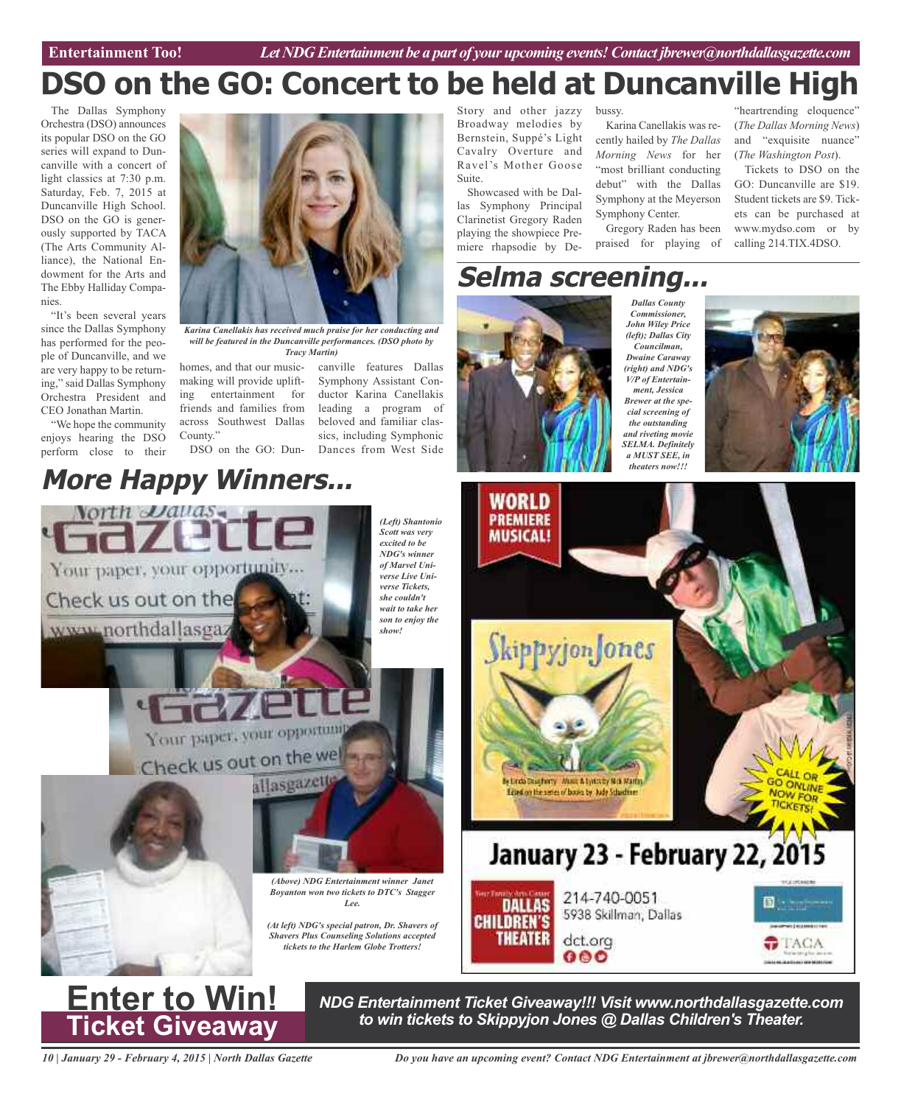### "heartrending eloquence" **DSO on the GO: Concert to be held at Duncanville High**

The Dallas Symphony Orchestra (DSO) announces its popular DSO on the GO series will expand to Duncanville with a concert of light classics at 7:30 p.m. Saturday, Feb. 7, 2015 at Duncanville High School. DSO on the GO is generously supported by TACA (The Arts Community Alliance), the National Endowment for the Arts and The Ebby Halliday Companies.

"It's been several years since the Dallas Symphony has performed for the people of Duncanville, and we are very happy to be returning," said Dallas Symphony Orchestra President and CEO Jonathan Martin.

"We hope the community enjoys hearing the DSO perform close to their

*Karina Canellakis has received much praise for her conducting and will be featured in the Duncanville performances. (DSO photo by Tracy Martin)*

homes, and that our musicmaking will provide uplifting entertainment for friends and families from across Southwest Dallas County."

DSO on the GO: Dun-Dances from West Side

### **More Happy Winners...**

*(Left) Shantonio Scott was very excited to be NDG's winner of Marvel Universe Live Universe Tickets, she couldn't wait to take her son to enjoy the*

canville features Dallas Symphony Assistant Conductor Karina Canellakis leading a program of beloved and familiar classics, including Symphonic

Story and other jazzy Broadway melodies by Bernstein, Suppé's Light Cavalry Overture and Ravel's Mother Goose Suite.

Showcased with be Dallas Symphony Principal Clarinetist Gregory Raden playing the showpiece Premiere rhapsodie by De-

### **Selma screening...**

bussy.

Karina Canellakis was recently hailed by *The Dallas Morning News* for her "most brilliant conducting debut" with the Dallas Symphony at the Meyerson

Gregory Raden has been praised for playing of

Symphony Center.

![](_page_9_Picture_14.jpeg)

*Commissioner, John Wiley Price (left); Dallas City Councilman, Dwaine Caraway (right) and NDG's V/P of Entertainment, Jessica Brewer at the special screening of the outstanding and riveting movie SELMA. Definitely a MUST SEE, in theaters now!!!*

*Dallas County*

![](_page_9_Picture_16.jpeg)

(*The Dallas Morning News*) and "exquisite nuance" (*The Washington Post*). Tickets to DSO on the GO: Duncanville are \$19. Student tickets are \$9. Tickets can be purchased at www.mydso.com or by calling 214.TIX.4DSO.

![](_page_9_Picture_17.jpeg)

![](_page_9_Picture_18.jpeg)

*NDG Entertainment Ticket Giveaway!!! Visit www.northdallasgazette.com to win tickets to Skippyjon Jones @ Dallas Children's Theater.* **Enter to Win!**

000

*10 | January 29 - February 4, 2015 | North Dallas Gazette*

*Do you have an upcoming event? Contact NDG Entertainment at jbrewer@northdallasgazette.com*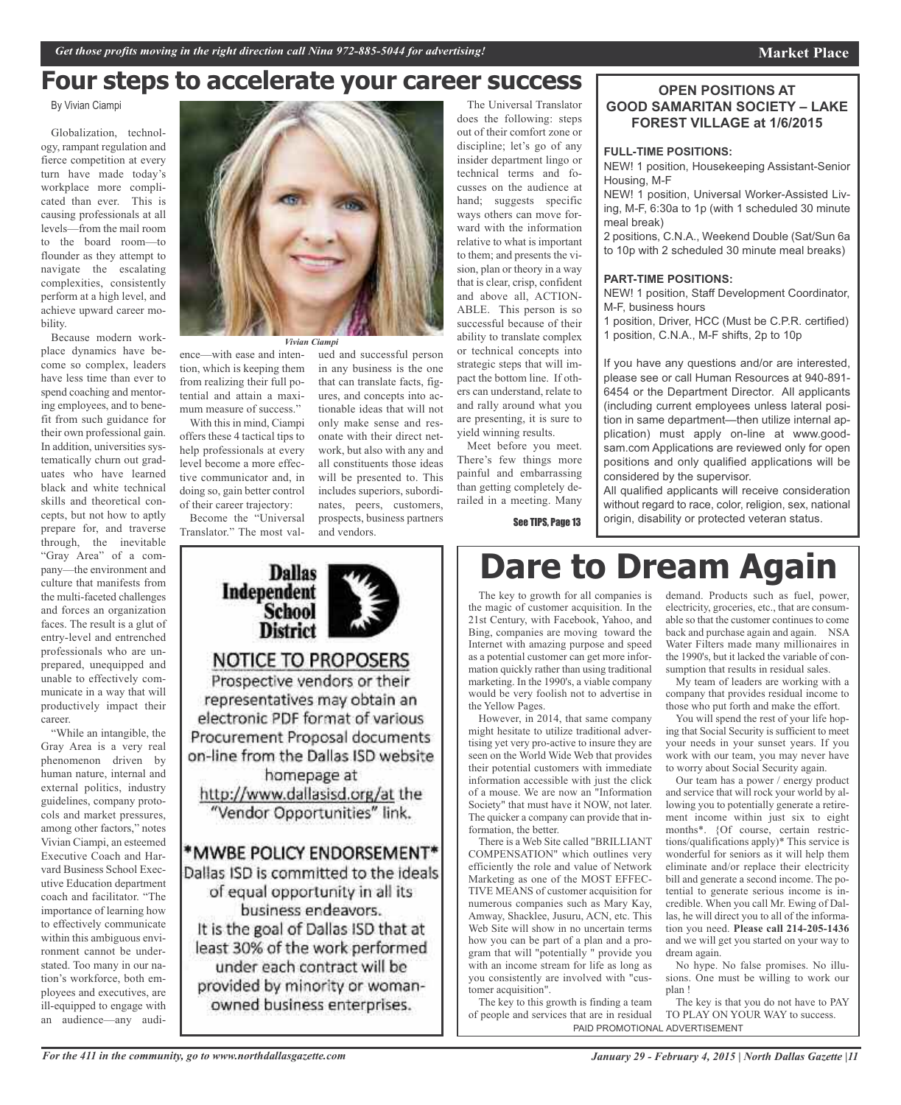### **Four steps to accelerate your career success**

By Vivian Ciampi

Globalization, technology, rampant regulation and fierce competition at every turn have made today's workplace more complicated than ever. This is causing professionals at all levels—from the mail room to the board room—to flounder as they attempt to navigate the escalating complexities, consistently perform at a high level, and achieve upward career mobility.

Because modern workplace dynamics have become so complex, leaders have less time than ever to spend coaching and mentoring employees, and to benefit from such guidance for their own professional gain. In addition, universities systematically churn out graduates who have learned black and white technical skills and theoretical concepts, but not how to aptly prepare for, and traverse through, the inevitable "Gray Area" of a company—the environment and culture that manifests from the multi-faceted challenges and forces an organization faces. The result is a glut of entry-level and entrenched professionals who are unprepared, unequipped and unable to effectively communicate in a way that will productively impact their career.

"While an intangible, the Gray Area is a very real phenomenon driven by human nature, internal and external politics, industry guidelines, company protocols and market pressures, among other factors," notes Vivian Ciampi, an esteemed Executive Coach and Harvard Business School Executive Education department coach and facilitator. "The importance of learning how to effectively communicate within this ambiguous environment cannot be understated. Too many in our nation's workforce, both employees and executives, are ill-equipped to engage with an audience—any audi-

![](_page_10_Picture_7.jpeg)

*Vivian Ciampi*

ence—with ease and intention, which is keeping them from realizing their full potential and attain a maximum measure of success."

With this in mind, Ciampi offers these 4 tactical tips to help professionals at every level become a more effective communicator and, in doing so, gain better control of their career trajectory:

Become the "Universal Translator." The most val-

ued and successful person in any business is the one that can translate facts, figures, and concepts into actionable ideas that will not only make sense and resonate with their direct network, but also with any and all constituents those ideas will be presented to. This includes superiors, subordinates, peers, customers, prospects, business partners and vendors.

![](_page_10_Picture_13.jpeg)

owned business enterprises.

The Universal Translator does the following: steps out of their comfort zone or discipline; let's go of any insider department lingo or technical terms and focusses on the audience at hand; suggests specific ways others can move forward with the information relative to what is important to them; and presents the vision, plan or theory in a way that is clear, crisp, confident and above all, ACTION-ABLE. This person is so successful because of their ability to translate complex or technical concepts into strategic steps that will impact the bottom line. If others can understand, relate to and rally around what you are presenting, it is sure to yield winning results.

Meet before you meet. There's few things more painful and embarrassing than getting completely derailed in a meeting. Many

See TIPS, Page 13

## **Dare to Dream Again**

The key to growth for all companies is the magic of customer acquisition. In the 21st Century, with Facebook, Yahoo, and Bing, companies are moving toward the Internet with amazing purpose and speed as a potential customer can get more information quickly rather than using traditional marketing. In the 1990's, a viable company would be very foolish not to advertise in the Yellow Pages.

However, in 2014, that same company might hesitate to utilize traditional advertising yet very pro-active to insure they are seen on the World Wide Web that provides their potential customers with immediate information accessible with just the click of a mouse. We are now an "Information Society" that must have it NOW, not later. The quicker a company can provide that information, the better.

There is a Web Site called "BRILLIANT COMPENSATION" which outlines very efficiently the role and value of Network Marketing as one of the MOST EFFEC-TIVE MEANS of customer acquisition for numerous companies such as Mary Kay, Amway, Shacklee, Jusuru, ACN, etc. This Web Site will show in no uncertain terms how you can be part of a plan and a program that will "potentially " provide you with an income stream for life as long as you consistently are involved with "customer acquisition".

The key to this growth is finding a team of people and services that are in residual PAID PROMOTIONAL ADVERTISEMENT

### **OPEN POSITIONS AT GOOD SAMARITAN SOCIETY – LAKE FOREST VILLAGE at 1/6/2015**

### **FULL-TIME POSITIONS:**

NEW! 1 position, Housekeeping Assistant-Senior Housing, M-F

NEW! 1 position, Universal Worker-Assisted Living, M-F, 6:30a to 1p (with 1 scheduled 30 minute meal break)

2 positions, C.N.A., Weekend Double (Sat/Sun 6a to 10p with 2 scheduled 30 minute meal breaks)

#### **PART-TIME POSITIONS:**

NEW! 1 position, Staff Development Coordinator, M-F, business hours

1 position, Driver, HCC (Must be C.P.R. certified) 1 position, C.N.A., M-F shifts, 2p to 10p

If you have any questions and/or are interested, please see or call Human Resources at 940-891- 6454 or the Department Director. All applicants (including current employees unless lateral position in same department—then utilize internal application) must apply on-line at www.goodsam.com Applications are reviewed only for open positions and only qualified applications will be considered by the supervisor.

All qualified applicants will receive consideration without regard to race, color, religion, sex, national origin, disability or protected veteran status.

# demand. Products such as fuel, power,

electricity, groceries, etc., that are consumable so that the customer continues to come back and purchase again and again. NSA Water Filters made many millionaires in the 1990's, but it lacked the variable of consumption that results in residual sales.

My team of leaders are working with a company that provides residual income to those who put forth and make the effort.

You will spend the rest of your life hoping that Social Security is sufficient to meet your needs in your sunset years. If you work with our team, you may never have to worry about Social Security again.

Our team has a power / energy product and service that will rock your world by allowing you to potentially generate a retirement income within just six to eight months\*. {Of course, certain restrictions/qualifications apply)\* This service is wonderful for seniors as it will help them eliminate and/or replace their electricity bill and generate a second income. The potential to generate serious income is incredible. When you call Mr. Ewing of Dallas, he will direct you to all of the information you need. **Please call 214-205-1436** and we will get you started on your way to dream again.

No hype. No false promises. No illusions. One must be willing to work our plan !

The key is that you do not have to PAY TO PLAY ON YOUR WAY to success.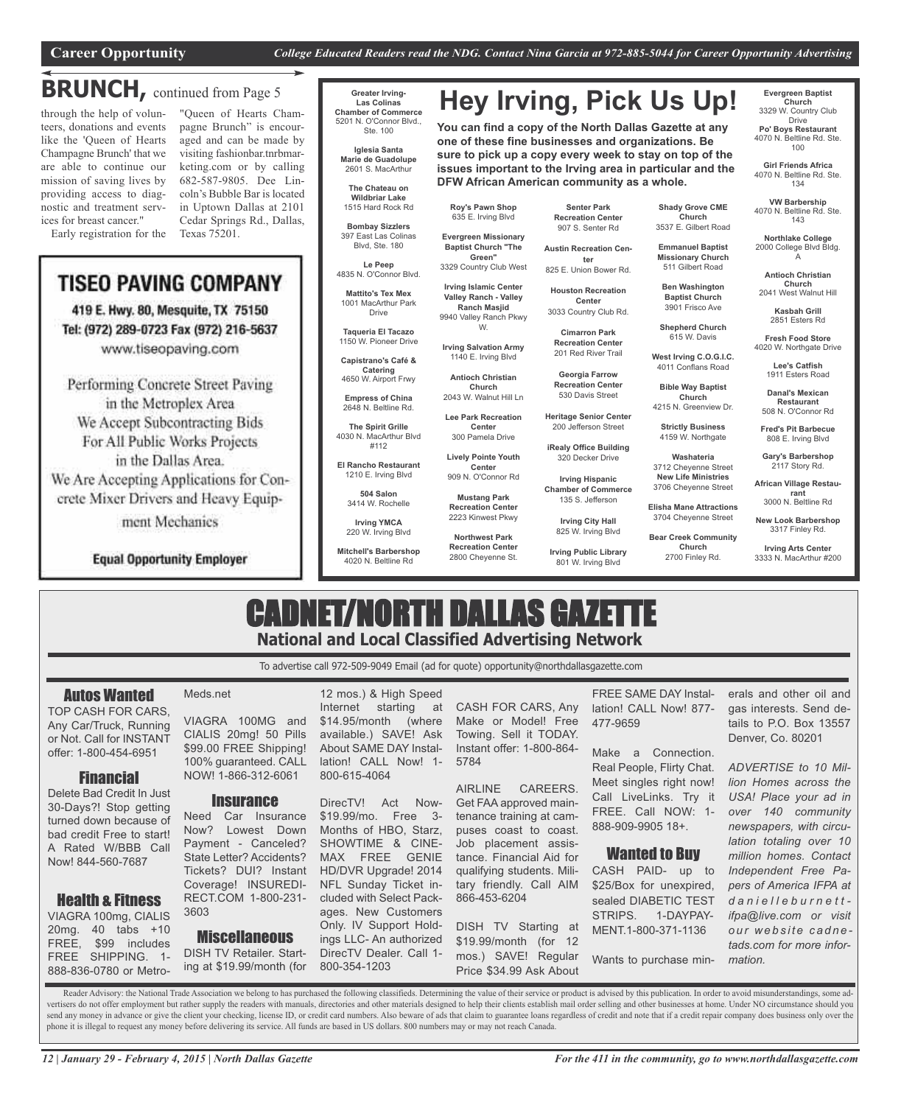**DFW African American community as a whole.**

### **BRUNCH,** continued from Page <sup>5</sup>

through the help of volunteers, donations and events like the 'Queen of Hearts Champagne Brunch' that we are able to continue our mission of saving lives by providing access to diagnostic and treatment services for breast cancer."

Early registration for the

"Queen of Hearts Champagne Brunch" is encouraged and can be made by visiting fashionbar.tnrbmarketing.com or by calling 682-587-9805. Dee Lincoln's Bubble Bar is located in Uptown Dallas at 2101 Cedar Springs Rd., Dallas, Texas 75201.

### **TISEO PAVING COMPANY**

419 E. Hwy. 80, Mesquite, TX 75150 Tel: (972) 289-0723 Fax (972) 216-5637 www.tiseopaving.com

Performing Concrete Street Paving in the Metroplex Area We Accept Subcontracting Bids For All Public Works Projects in the Dallas Area.

We Are Accepting Applications for Concrete Mixer Drivers and Heavy Equip-

ment Mechanics

**Equal Opportunity Employer** 

#### **Greater Irving-Las Colinas Chamber of Commerce** 5201 N. O'Connor Blvd., Ste. 100

**Iglesia Santa Marie de Guadolupe** 2601 S. MacArthur

**The Chateau on Wildbriar Lake** 1515 Hard Rock Rd

**Bombay Sizzlers** 397 East Las Colinas Blvd, Ste. 180

**Le Peep** 4835 N. O'Connor Blvd.

**Mattito's Tex Mex** 1001 MacArthur Park

Drive **Taqueria El Tacazo** 1150 W. Pioneer Drive

**Capistrano's Café & Catering**

4650 W. Airport Frwy **Empress of China** 2648 N. Beltline Rd.

**The Spirit Grille** 4030 N. MacArthur Blvd

#112 **El Rancho Restaurant**

> 1210 E. Irving Blvd **504 Salon** 3414 W. Rochelle

**Irving YMCA** 220 W. Irving Blvd

**Mitchell's Barbershop** 4020 N. Beltline Rd

**Senter Park Recreation Center** 907 S. Senter Rd

**Hey Irving, Pick Us Up!**

**You can find a copy of the North Dallas Gazette at any one of these fine businesses and organizations. Be sure to pick up a copy every week to stay on top of the issues important to the Irving area in particular and the**

**Roy's Pawn Shop** 635 E. Irving Blvd **Evergreen Missionary Baptist Church "The Green"**

**Irving Islamic Center Valley Ranch - Valley Ranch Masjid** 9940 Valley Ranch Pkwy W. **Irving Salvation Army** 1140 E. Irving Blvd **Antioch Christian Church** 2043 W. Walnut Hill Ln **Lee Park Recreation Center** 300 Pamela Drive **Lively Pointe Youth Center** 909 N. O'Connor Rd **Mustang Park Recreation Center** 2223 Kinwest Pkwy **Northwest Park Recreation Center** 2800 Cheyenne St.

3329 Country Club West **Austin Recreation Center** 825 E. Union Bower Rd.

> **Houston Recreation Center** 3033 Country Club Rd.

> > **Cimarron Park Recreation Center** 201 Red River Trail

**Georgia Farrow Recreation Center** 530 Davis Street

**Heritage Senior Center** 200 Jefferson Street

**iRealy Office Building** 320 Decker Drive

**Irving Hispanic Chamber of Commerce** 135 S. Jefferson

> **Irving City Hall** 825 W. Irving Blvd

**Irving Public Library** 801 W. Irving Blvd

**Shady Grove CME Church** 3537 E. Gilbert Road

**Emmanuel Baptist Missionary Church**

**Ben Washington Baptist Church**

**Shepherd Church**

4011 Conflans Road

**Church** 4215 N. Greenview Dr.

4159 W. Northgate

**African Village Restaurant** 3000 N. Beltline Rd

**New Look Barbershop**

**Evergreen Baptist Church** 3329 W. Country Club Drive **Po' Boys Restaurant** 4070 N. Beltline Rd. Ste. 100 **Girl Friends Africa** 4070 N. Beltline Rd. Ste. 134 **VW Barbership** 4070 N. Beltline Rd. Ste. 143 **Northlake College** 2000 College Blvd Bldg. A **Antioch Christian Church** 2041 West Walnut Hill **Kasbah Grill** 2851 Esters Rd **Fresh Food Store** 4020 W. Northgate Drive **Lee's Catfish** 1911 Esters Road **Danal's Mexican Restaurant** 508 N. O'Connor Rd **Fred's Pit Barbecue** 808 E. Irving Blvd **Gary's Barbershop** 2117 Story Rd.

**Irving Arts Center** 3333 N. MacArthur #200

### CADNET/NORTH DALLAS GAZETTE **National and Local Classified Advertising Network**

To advertise call 972-509-9049 Email (ad for quote) opportunity@northdallasgazette.com

### Autos Wanted

TOP CASH FOR CARS, Any Car/Truck, Running or Not. Call for INSTANT offer: 1-800-454-6951

### Financial

Delete Bad Credit In Just 30-Days?! Stop getting turned down because of bad credit Free to start! A Rated W/BBB Call Now! 844-560-7687

### Health & Fitness

VIAGRA 100mg, CIALIS 20mg. 40 tabs +10 FREE, \$99 includes FREE SHIPPING. 1- 888-836-0780 or Metro-

#### Meds.net

VIAGRA 100MG and CIALIS 20mg! 50 Pills \$99.00 FREE Shipping! 100% guaranteed. CALL NOW! 1-866-312-6061

### **Insurance**

Need Car Insurance Now? Lowest Down Payment - Canceled? State Letter? Accidents? Tickets? DUI? Instant Coverage! INSUREDI-RECT.COM 1-800-231- 3603

### **Miscellaneous**

DISH TV Retailer. Starting at \$19.99/month (for

12 mos.) & High Speed Internet starting at \$14.95/month (where available.) SAVE! Ask About SAME DAY Installation! CALL Now! 1- 800-615-4064

DirecTV! Act Now- \$19.99/mo. Free 3- Months of HBO, Starz, SHOWTIME & CINE-MAX FREE GENIE HD/DVR Upgrade! 2014 NFL Sunday Ticket included with Select Packages. New Customers Only. IV Support Holdings LLC- An authorized DirecTV Dealer. Call 1- 800-354-1203

CASH FOR CARS, Any Make or Model! Free Towing. Sell it TODAY. Instant offer: 1-800-864- 5784

AIRLINE CAREERS. Get FAA approved maintenance training at campuses coast to coast. Job placement assistance. Financial Aid for qualifying students. Military friendly. Call AIM 866-453-6204

DISH TV Starting at \$19.99/month (for 12 mos.) SAVE! Regular Price \$34.99 Ask About

FREE SAME DAY Installation! CALL Now! 877- 477-9659

Make a Connection. Real People, Flirty Chat. Meet singles right now! Call LiveLinks. Try it FREE. Call NOW: 1- 888-909-9905 18+.

### Wanted to Buy

CASH PAID- up to \$25/Box for unexpired, sealed DIABETIC TEST STRIPS. 1-DAYPAY-MENT.1-800-371-1136

Wants to purchase min-

erals and other oil and gas interests. Send details to P.O. Box 13557 Denver, Co. 80201

*ADVERTISE to 10 Million Homes across the USA! Place your ad in over 140 community newspapers, with circulation totaling over 10 million homes. Contact Independent Free Papers of America IFPA at d a n i e l l e b u r n e t t ifpa@live.com or visit o u r w e b s i t e c a d n e tads.com for more information.*

Reader Advisory: the National Trade Association we belong to has purchased the following classifieds. Determining the value of their service or product is advised by this publication. In order to avoid misunderstandings, s vertisers do not offer employment but rather supply the readers with manuals, directories and other materials designed to help their clients establish mail order selling and other businesses at home. Under NO circumstance send any money in advance or give the client your checking, license ID, or credit card numbers. Also beware of ads that claim to guarantee loans regardless of credit and note that if a credit repair company does business o phone it is illegal to request any money before delivering its service. All funds are based in US dollars. 800 numbers may or may not reach Canada.

# 511 Gilbert Road

3901 Frisco Ave

615 W. Davis

**West Irving C.O.G.I.C.**

**Bible Way Baptist**

**Strictly Business**

3704 Cheyenne Street **Bear Creek Community Church** 2700 Finley Rd.

**Washateria** 3712 Cheyenne Street **New Life Ministries**

3706 Cheyenne Street **Elisha Mane Attractions**

3317 Finley Rd.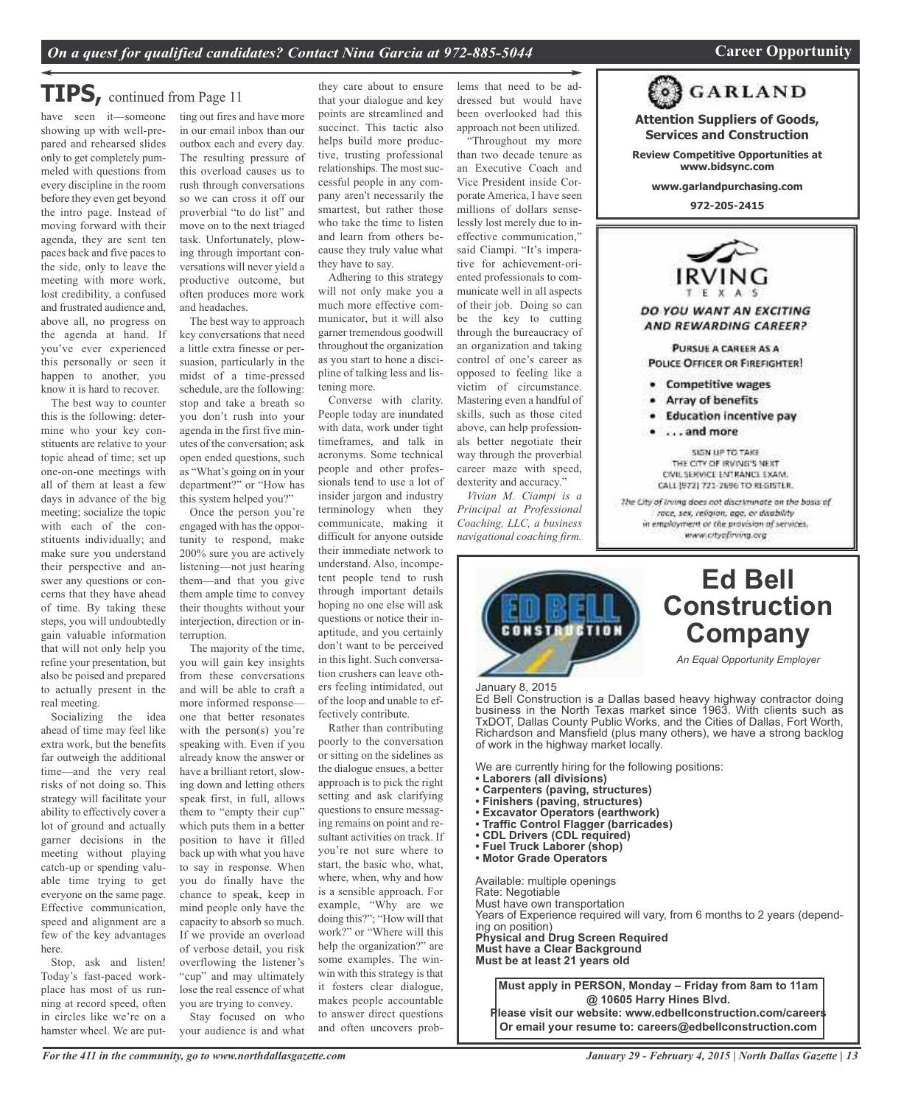**Attention Suppliers of Goods, Services and Construction Review Competitive Opportunities at www.bidsync.com www.garlandpurchasing.com 972-205-2415**

F X A DO YOU WANT AN EXCITING AND REWARDING CAREER? PURSUE A CAREER AS A **POLICE OFFICER OR FIREFIGHTER!** 

> **Competitive wages** Array of benefits

. . . . and more

**Education incentive pay** 

SIGN UP TO TAKE THE CITY OF IRVING'S NEXT CIVIL SERVICE ENTRANCE EXAM. CALL (972) 721-2696 TO REGISTER. The City of Irving does not discriminate on the basis of race, sex, religion, age, or disability in employment or the provision of services. www.cityofiring.org

**GARLAND** 

**Ed Bell**

**Company**

*An Equal Opportunity Employer*

### *On a quest for qualified candidates? Contact Nina Garcia at 972-885-5044* **Career Opportunity**

### **TIPS,** continued from Page <sup>11</sup>

have seen it—someone showing up with well-prepared and rehearsed slides only to get completely pummeled with questions from every discipline in the room before they even get beyond the intro page. Instead of moving forward with their agenda, they are sent ten paces back and five paces to the side, only to leave the meeting with more work, lost credibility, a confused and frustrated audience and, above all, no progress on the agenda at hand. If you've ever experienced this personally or seen it happen to another, you know it is hard to recover.

The best way to counter this is the following: determine who your key constituents are relative to your topic ahead of time; set up one-on-one meetings with all of them at least a few days in advance of the big meeting; socialize the topic with each of the constituents individually; and make sure you understand their perspective and answer any questions or concerns that they have ahead of time. By taking these steps, you will undoubtedly gain valuable information that will not only help you refine your presentation, but also be poised and prepared to actually present in the real meeting.

Socializing the idea ahead of time may feel like extra work, but the benefits far outweigh the additional time—and the very real risks of not doing so. This strategy will facilitate your ability to effectively cover a lot of ground and actually garner decisions in the meeting without playing catch-up or spending valuable time trying to get everyone on the same page. Effective communication, speed and alignment are a few of the key advantages here.

Stop, ask and listen! Today's fast-paced workplace has most of us running at record speed, often in circles like we're on a hamster wheel. We are putting out fires and have more in our email inbox than our outbox each and every day. The resulting pressure of this overload causes us to rush through conversations so we can cross it off our proverbial "to do list" and move on to the next triaged task. Unfortunately, plowing through important conversations will never yield a productive outcome, but often produces more work and headaches.

The best way to approach key conversations that need a little extra finesse or persuasion, particularly in the midst of a time-pressed schedule, are the following: stop and take a breath so you don't rush into your agenda in the first five minutes of the conversation; ask open ended questions, such as "What's going on in your department?" or "How has this system helped you?"

Once the person you're engaged with has the opportunity to respond, make 200% sure you are actively listening—not just hearing them—and that you give them ample time to convey their thoughts without your interjection, direction or interruption.

The majority of the time, you will gain key insights from these conversations and will be able to craft a more informed response one that better resonates with the person(s) you're speaking with. Even if you already know the answer or have a brilliant retort, slowing down and letting others speak first, in full, allows them to "empty their cup" which puts them in a better position to have it filled back up with what you have to say in response. When you do finally have the chance to speak, keep in mind people only have the capacity to absorb so much. If we provide an overload of verbose detail, you risk overflowing the listener's "cup" and may ultimately lose the real essence of what you are trying to convey. Stay focused on who

your audience is and what

they care about to ensure that your dialogue and key points are streamlined and succinct. This tactic also helps build more productive, trusting professional relationships. The most successful people in any company aren't necessarily the smartest, but rather those who take the time to listen and learn from others because they truly value what they have to say. Adhering to this strategy

will not only make you a much more effective communicator, but it will also garner tremendous goodwill throughout the organization as you start to hone a discipline of talking less and listening more.

Converse with clarity. People today are inundated with data, work under tight timeframes, and talk in acronyms. Some technical people and other professionals tend to use a lot of insider jargon and industry terminology when they communicate, making it difficult for anyone outside their immediate network to understand. Also, incompetent people tend to rush through important details hoping no one else will ask questions or notice their inaptitude, and you certainly don't want to be perceived in this light. Such conversation crushers can leave others feeling intimidated, out of the loop and unable to effectively contribute.

Rather than contributing poorly to the conversation or sitting on the sidelines as the dialogue ensues, a better approach is to pick the right setting and ask clarifying questions to ensure messaging remains on point and resultant activities on track. If you're not sure where to start, the basic who, what, where, when, why and how is a sensible approach. For example, "Why are we doing this?"; "How will that work?" or "Where will this help the organization?" are some examples. The winwin with this strategy is that it fosters clear dialogue, makes people accountable to answer direct questions and often uncovers problems that need to be addressed but would have been overlooked had this approach not been utilized. "Throughout my more

than two decade tenure as an Executive Coach and Vice President inside Corporate America, I have seen millions of dollars senselessly lost merely due to ineffective communication," said Ciampi. "It's imperative for achievement-oriented professionals to communicate well in all aspects of their job. Doing so can be the key to cutting through the bureaucracy of an organization and taking control of one's career as opposed to feeling like a victim of circumstance. Mastering even a handful of skills, such as those cited above, can help professionals better negotiate their way through the proverbial career maze with speed, dexterity and accuracy."

*Vivian M. Ciampi is a Principal at Professional Coaching, LLC, a business navigational coaching firm.*

![](_page_12_Picture_19.jpeg)

### January 8, 2015

 Ed Bell Construction is a Dallas based heavy highway contractor doing<br>business in the North Texas market since 1963. With clients such as Ed Bell Construction is a Dallas based heavy highway contractor doing TxDOT, Dallas County Public Works, and the Cities of Dallas, Fort Worth, Richardson and Mansfield (plus many others), we have a strong backlog of work in the highway market locally.

We are currently hiring for the following positions:

- 
- Carpenters (paving, structures)<br>• Finishers (paving, structures)
- 
- Excavator Operators (earthwork)
- **Traffic Control Flagger (barricades)**<br>• CDL Drivers (CDL required) • Laborers (all divisions)<br>• Carpenters (paving, structures)<br>• Finishers (paving, structures)<br>• Excavator Operators (earthwork)<br>• Traffic Control Flagger (barricades)<br>• CDL Drivers (CDL required)<br>• Fuel Truck Laborer (shop
- 
- **Fuel Truck Laborer (shop)**
- **Motor Grade Operators**

Rate: Negotiable<br>Must have own transportation Available: multiple openings Rate: Negotiable Years of Experience required will vary, from 6 months to 2 years (depend-<br>ing on position) **Physical and Drug Screen Required Must have a Clear Background Must be at least 21 years old**

**Must apply in PERSON, Monday – Friday from 8am to 11am @ 10605 Harry Hines Blvd. Please visit our website: www.edbellconstruction.com/careers Or email your resume to: careers@edbellconstruction.com**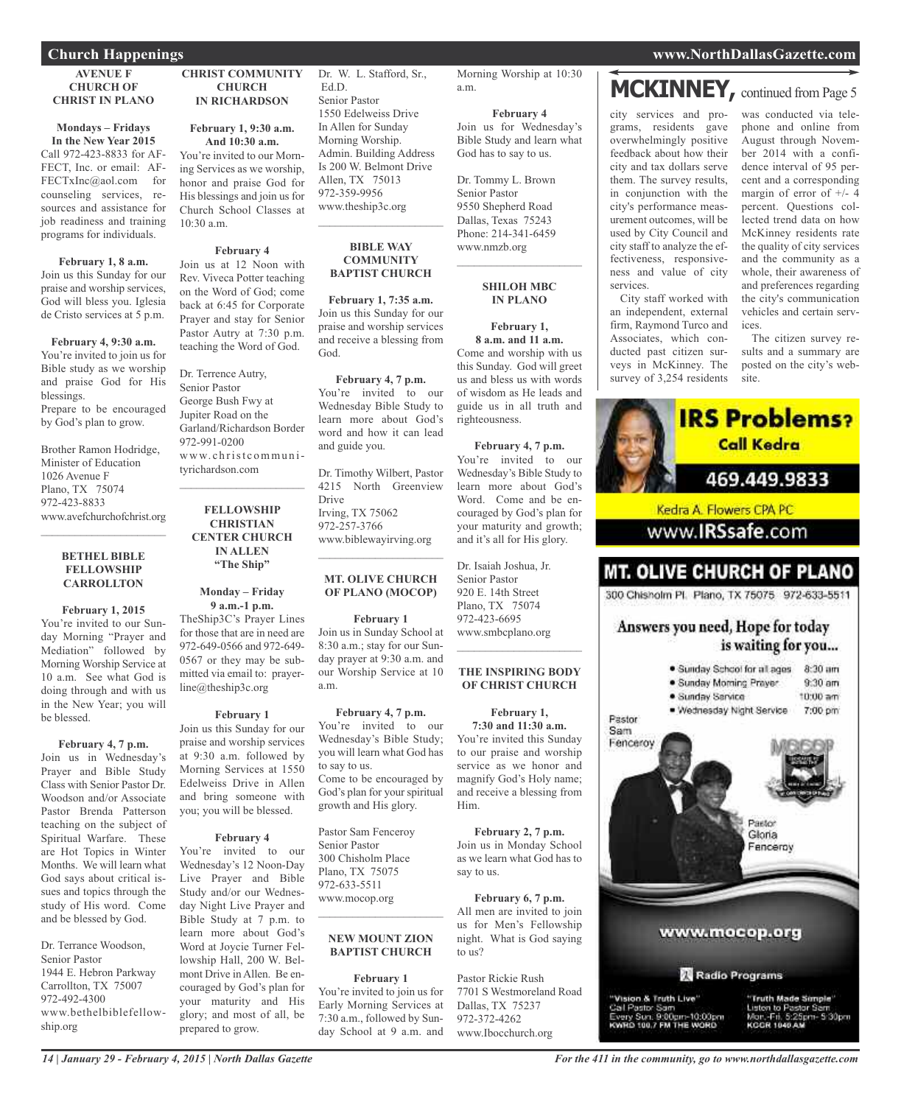#### **AVENUE F CHURCH OF CHRIST IN PLANO**

### **Mondays – Fridays In the New Year 2015**

Call 972-423-8833 for AF-FECT, Inc. or email: AF-FECTxInc@aol.com for counseling services, resources and assistance for job readiness and training programs for individuals.

#### **February 1, 8 a.m.**

Join us this Sunday for our praise and worship services, God will bless you. Iglesia de Cristo services at 5 p.m.

### **February 4, 9:30 a.m.**

You're invited to join us for Bible study as we worship and praise God for His blessings. Prepare to be encouraged by God's plan to grow.

Brother Ramon Hodridge, Minister of Education 1026 Avenue F Plano, TX 75074 972-423-8833 www.avefchurchofchrist.org

#### **BETHEL BIBLE FELLOWSHIP CARROLLTON**

 $\mathcal{L}=\mathcal{L}^{\mathcal{L}}$  , where  $\mathcal{L}^{\mathcal{L}}$  , we have the set of the set of the set of the set of the set of the set of the set of the set of the set of the set of the set of the set of the set of the set of the set of

**February 1, 2015** You're invited to our Sunday Morning "Prayer and Mediation" followed by

Morning Worship Service at 10 a.m. See what God is doing through and with us in the New Year; you will be blessed.

### **February 4, 7 p.m.**

Join us in Wednesday's Prayer and Bible Study Class with Senior Pastor Dr. Woodson and/or Associate Pastor Brenda Patterson teaching on the subject of Spiritual Warfare. These are Hot Topics in Winter Months. We will learn what God says about critical issues and topics through the study of His word. Come and be blessed by God.

Dr. Terrance Woodson, Senior Pastor 1944 E. Hebron Parkway Carrollton, TX 75007 972-492-4300 www.bethelbiblefellowship.org

#### **CHRIST COMMUNITY CHURCH IN RICHARDSON**

### **February 1, 9:30 a.m. And 10:30 a.m.**

You're invited to our Morning Services as we worship, honor and praise God for His blessings and join us for Church School Classes at 10:30 a.m.

### **February 4**

Join us at 12 Noon with Rev. Viveca Potter teaching on the Word of God; come back at 6:45 for Corporate Prayer and stay for Senior Pastor Autry at 7:30 p.m. teaching the Word of God.

#### Dr. Terrence Autry, Senior Pastor George Bush Fwy at Jupiter Road on the Garland/Richardson Border 972-991-0200 www.christcommunityrichardson.com

**FELLOWSHIP CHRISTIAN CENTER CHURCH IN ALLEN "The Ship"**

 $\mathcal{L}_\text{max}$  and  $\mathcal{L}_\text{max}$  and  $\mathcal{L}_\text{max}$ 

#### **Monday – Friday 9 a.m.-1 p.m.**

TheShip3C's Prayer Lines for those that are in need are 972-649-0566 and 972-649- 0567 or they may be submitted via email to: prayerline@theship3c.org

### **February 1**

Join us this Sunday for our praise and worship services at 9:30 a.m. followed by Morning Services at 1550 Edelweiss Drive in Allen and bring someone with you; you will be blessed.

### **February 4**

You're invited to our Wednesday's 12 Noon-Day Live Prayer and Bible Study and/or our Wednesday Night Live Prayer and Bible Study at 7 p.m. to learn more about God's Word at Joycie Turner Fellowship Hall, 200 W. Belmont Drive in Allen. Be encouraged by God's plan for your maturity and His glory; and most of all, be prepared to grow.

Dr. W. L. Stafford, Sr., Ed.D. Senior Pastor 1550 Edelweiss Drive In Allen for Sunday Morning Worship. Admin. Building Address Is 200 W. Belmont Drive Allen, TX 75013 972-359-9956 www.theship3c.org

#### **BIBLE WAY COMMUNITY BAPTIST CHURCH**

 $\overline{\phantom{a}}$  , and the set of the set of the set of the set of the set of the set of the set of the set of the set of the set of the set of the set of the set of the set of the set of the set of the set of the set of the s

**February 1, 7:35 a.m.** Join us this Sunday for our praise and worship services and receive a blessing from God.

### **February 4, 7 p.m.**

You're invited to our Wednesday Bible Study to learn more about God's word and how it can lead and guide you.

Dr. Timothy Wilbert, Pastor 4215 North Greenview Drive Irving, TX 75062 972-257-3766 www.biblewayirving.org

#### **MT. OLIVE CHURCH OF PLANO (MOCOP)**

 $\overline{\phantom{a}}$  , and the set of the set of the set of the set of the set of the set of the set of the set of the set of the set of the set of the set of the set of the set of the set of the set of the set of the set of the s

**February 1**

Join us in Sunday School at 8:30 a.m.; stay for our Sunday prayer at 9:30 a.m. and our Worship Service at 10 a.m.

#### **February 4, 7 p.m.**

You're invited to our Wednesday's Bible Study; you will learn what God has to say to us. Come to be encouraged by God's plan for your spiritual growth and His glory.

Pastor Sam Fenceroy Senior Pastor 300 Chisholm Place Plano, TX 75075 972-633-5511 www.mocop.org

#### **NEW MOUNT ZION BAPTIST CHURCH**

 $\mathcal{L}=\mathcal{L}^{\mathcal{L}}$  , where  $\mathcal{L}^{\mathcal{L}}$  , we have the set of the set of the set of the set of the set of the set of the set of the set of the set of the set of the set of the set of the set of the set of the set of

**February 1** You're invited to join us for Early Morning Services at 7:30 a.m., followed by Sunday School at 9 a.m. and Morning Worship at 10:30 a.m.

### **February 4**

Join us for Wednesday's Bible Study and learn what God has to say to us.

Dr. Tommy L. Brown Senior Pastor 9550 Shepherd Road Dallas, Texas 75243 Phone: 214-341-6459 www.nmzb.org  $\mathcal{L}$  , and the set of the set of the set of the set of the set of the set of the set of the set of the set of the set of the set of the set of the set of the set of the set of the set of the set of the set of the set

#### **SHILOH MBC IN PLANO**

**February 1, 8 a.m. and 11 a.m.** Come and worship with us this Sunday. God will greet us and bless us with words of wisdom as He leads and guide us in all truth and righteousness.

**February 4, 7 p.m.** You're invited to our Wednesday's Bible Study to learn more about God's Word. Come and be encouraged by God's plan for your maturity and growth; and it's all for His glory.

Dr. Isaiah Joshua, Jr. Senior Pastor 920 E. 14th Street Plano, TX 75074 972-423-6695 www.smbcplano.org  $\mathcal{L}=\mathcal{L}^{\mathcal{L}}$  , where  $\mathcal{L}^{\mathcal{L}}$  , we have the set of the set of the set of the set of the set of the set of the set of the set of the set of the set of the set of the set of the set of the set of the set of

#### **THE INSPIRING BODY OF CHRIST CHURCH**

**February 1, 7:30 and 11:30 a.m.** You're invited this Sunday to our praise and worship service as we honor and magnify God's Holy name; and receive a blessing from Him.

**February 2, 7 p.m.** Join us in Monday School as we learn what God has to say to us.

**February 6, 7 p.m.** All men are invited to join us for Men's Fellowship night. What is God saying to us?

Pastor Rickie Rush 7701 S Westmoreland Road Dallas, TX 75237 972-372-4262 www.Ibocchurch.org

### **MCKINNEY,** continued from Page <sup>5</sup>

city services and programs, residents gave overwhelmingly positive feedback about how their city and tax dollars serve them. The survey results, in conjunction with the city's performance measurement outcomes, will be used by City Council and city staff to analyze the effectiveness, responsiveness and value of city services. City staff worked with

an independent, external firm, Raymond Turco and Associates, which conducted past citizen surveys in McKinney. The survey of 3,254 residents was conducted via telephone and online from August through November 2014 with a confidence interval of 95 percent and a corresponding margin of error of  $+/- 4$ percent. Questions collected trend data on how McKinney residents rate the quality of city services and the community as a whole, their awareness of and preferences regarding the city's communication vehicles and certain services.

The citizen survey results and a summary are posted on the city's website.

![](_page_13_Picture_61.jpeg)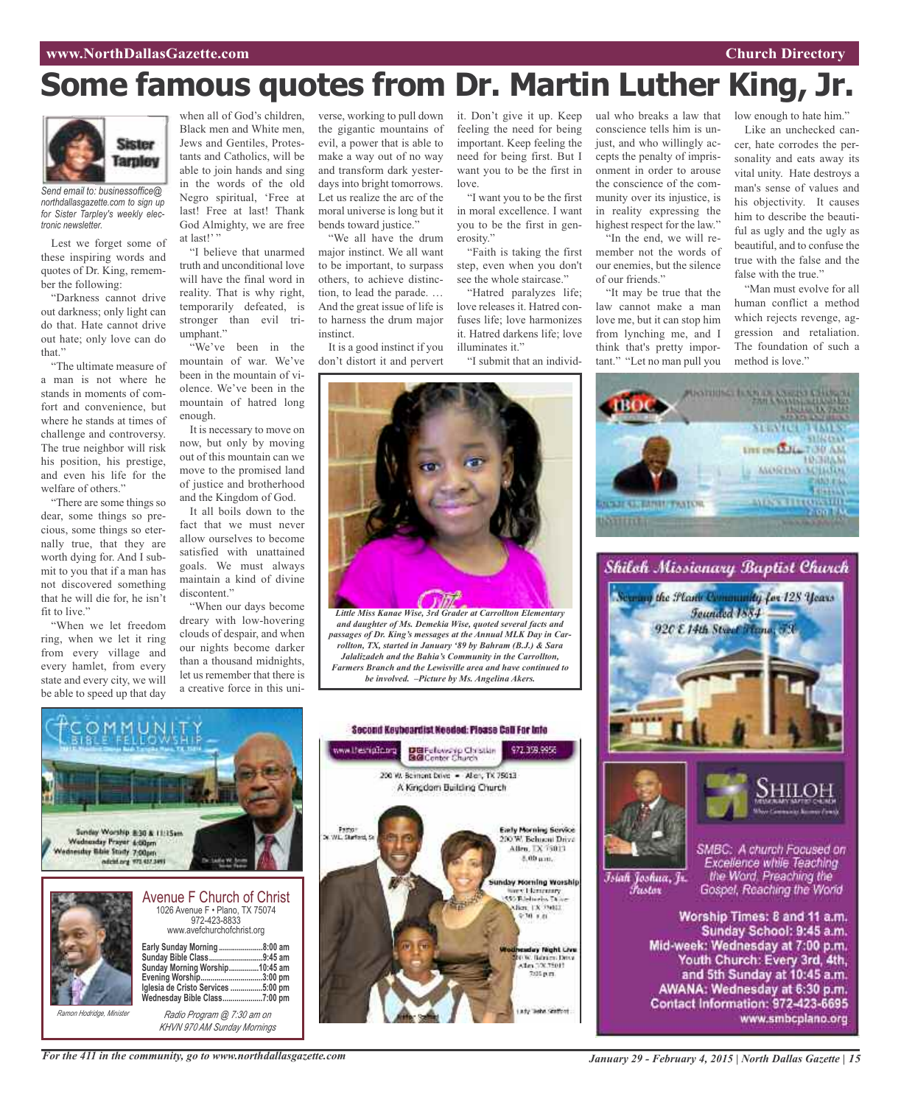## **Some famous quotes from Dr. Martin Luther King, Jr.**

![](_page_14_Picture_2.jpeg)

*Send email to: businessoffice@ northdallasgazette.com to sign up for Sister Tarpley's weekly electronic newsletter.*

Lest we forget some of these inspiring words and quotes of Dr. King, remember the following:

"Darkness cannot drive out darkness; only light can do that. Hate cannot drive out hate; only love can do that."

"The ultimate measure of a man is not where he stands in moments of comfort and convenience, but where he stands at times of challenge and controversy. The true neighbor will risk his position, his prestige, and even his life for the welfare of others."

"There are some things so dear, some things so precious, some things so eternally true, that they are worth dying for. And I submit to you that if a man has not discovered something that he will die for, he isn't fit to live."

"When we let freedom ring, when we let it ring from every village and every hamlet, from every state and every city, we will be able to speed up that day

when all of God's children, Black men and White men, Jews and Gentiles, Protestants and Catholics, will be able to join hands and sing in the words of the old Negro spiritual, 'Free at last! Free at last! Thank God Almighty, we are free at last!"

"I believe that unarmed truth and unconditional love will have the final word in reality. That is why right, temporarily defeated, is stronger than evil triumphant."

"We've been in the mountain of war. We've been in the mountain of violence. We've been in the mountain of hatred long enough.

It is necessary to move on now, but only by moving out of this mountain can we move to the promised land of justice and brotherhood and the Kingdom of God.

It all boils down to the fact that we must never allow ourselves to become satisfied with unattained goals. We must always maintain a kind of divine discontent."

"When our days become dreary with low-hovering clouds of despair, and when our nights become darker than a thousand midnights, let us remember that there is a creative force in this universe, working to pull down the gigantic mountains of evil, a power that is able to make a way out of no way and transform dark yesterdays into bright tomorrows. Let us realize the arc of the moral universe is long but it bends toward justice."

"We all have the drum major instinct. We all want to be important, to surpass others, to achieve distinction, to lead the parade. … And the great issue of life is to harness the drum major instinct.

It is a good instinct if you don't distort it and pervert

it. Don't give it up. Keep feeling the need for being important. Keep feeling the need for being first. But I want you to be the first in love.

"I want you to be the first in moral excellence. I want you to be the first in generosity."

"Faith is taking the first step, even when you don't see the whole staircase."

"Hatred paralyzes life; love releases it. Hatred con-

fuses life; love harmonizes it. Hatred darkens life; love illuminates it."

"I submit that an individ-

ual who breaks a law that conscience tells him is unjust, and who willingly accepts the penalty of imprisonment in order to arouse the conscience of the community over its injustice, is in reality expressing the highest respect for the law."

"In the end, we will remember not the words of our enemies, but the silence of our friends."

"It may be true that the law cannot make a man love me, but it can stop him from lynching me, and I think that's pretty important." "Let no man pull you

low enough to hate him."

Like an unchecked cancer, hate corrodes the personality and eats away its vital unity. Hate destroys a man's sense of values and his objectivity. It causes him to describe the beautiful as ugly and the ugly as beautiful, and to confuse the true with the false and the false with the true.<sup>9</sup>

"Man must evolve for all human conflict a method which rejects revenge, aggression and retaliation. The foundation of such a method is love."

**SPEARED TOME UTE ON LALL TOU AM** 

**HEGHAM** 

**Photoholic Lines of American Chicago**<br>Second Lines

![](_page_14_Picture_30.jpeg)

*and daughter of Ms. Demekia Wise, quoted several facts and passages of Dr. King's messages at the Annual MLK Day in Carrollton, TX, started in January '89 by Bahram (B.J.) & Sara Jalalizadeh and the Bahia's Community in the Carrollton, Farmers Branch and the Lewisville area and have continued to be involved. –Picture by Ms. Angelina Akers.*

![](_page_14_Picture_32.jpeg)

*KHVN 970 AM Sunday Mornings*

![](_page_14_Picture_34.jpeg)

![](_page_14_Picture_35.jpeg)

![](_page_14_Picture_36.jpeg)

Islah Joshua, Jr.

*Pustar* 

![](_page_14_Picture_37.jpeg)

SMBC: A church Focused on Excellence while Teaching<br>the Word, Preaching the Gospel, Reaching the World

Worship Times: 8 and 11 a.m. Sunday School: 9:45 a.m. Mid-week: Wednesday at 7:00 p.m. Youth Church: Every 3rd, 4th, and 5th Sunday at 10:45 a.m. AWANA: Wednesday at 6:30 p.m. Contact Information: 972-423-6695 www.smbcplano.org